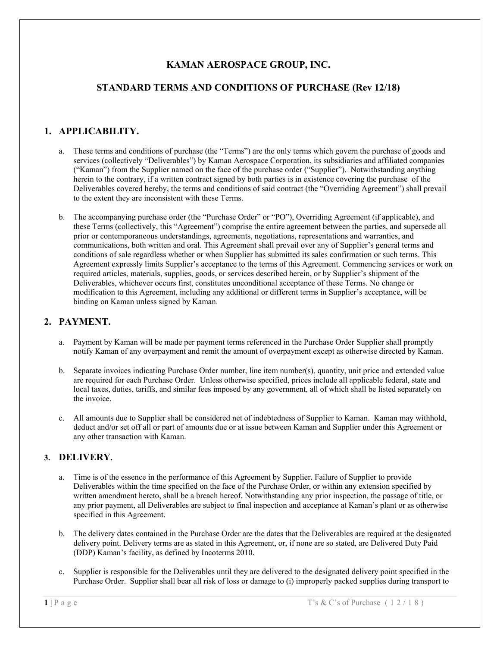# **KAMAN AEROSPACE GROUP, INC.**

### **STANDARD TERMS AND CONDITIONS OF PURCHASE (Rev 12/18)**

### **1. APPLICABILITY.**

- a. These terms and conditions of purchase (the "Terms") are the only terms which govern the purchase of goods and services (collectively "Deliverables") by Kaman Aerospace Corporation, its subsidiaries and affiliated companies ("Kaman") from the Supplier named on the face of the purchase order ("Supplier"). Notwithstanding anything herein to the contrary, if a written contract signed by both parties is in existence covering the purchase of the Deliverables covered hereby, the terms and conditions of said contract (the "Overriding Agreement") shall prevail to the extent they are inconsistent with these Terms.
- b. The accompanying purchase order (the "Purchase Order" or "PO"), Overriding Agreement (if applicable), and these Terms (collectively, this "Agreement") comprise the entire agreement between the parties, and supersede all prior or contemporaneous understandings, agreements, negotiations, representations and warranties, and communications, both written and oral. This Agreement shall prevail over any of Supplier's general terms and conditions of sale regardless whether or when Supplier has submitted its sales confirmation or such terms. This Agreement expressly limits Supplier's acceptance to the terms of this Agreement. Commencing services or work on required articles, materials, supplies, goods, or services described herein, or by Supplier's shipment of the Deliverables, whichever occurs first, constitutes unconditional acceptance of these Terms. No change or modification to this Agreement, including any additional or different terms in Supplier's acceptance, will be binding on Kaman unless signed by Kaman.

#### **2. PAYMENT.**

- a. Payment by Kaman will be made per payment terms referenced in the Purchase Order Supplier shall promptly notify Kaman of any overpayment and remit the amount of overpayment except as otherwise directed by Kaman.
- b. Separate invoices indicating Purchase Order number, line item number(s), quantity, unit price and extended value are required for each Purchase Order. Unless otherwise specified, prices include all applicable federal, state and local taxes, duties, tariffs, and similar fees imposed by any government, all of which shall be listed separately on the invoice.
- c. All amounts due to Supplier shall be considered net of indebtedness of Supplier to Kaman. Kaman may withhold, deduct and/or set off all or part of amounts due or at issue between Kaman and Supplier under this Agreement or any other transaction with Kaman.

### **3. DELIVERY.**

- a. Time is of the essence in the performance of this Agreement by Supplier. Failure of Supplier to provide Deliverables within the time specified on the face of the Purchase Order, or within any extension specified by written amendment hereto, shall be a breach hereof. Notwithstanding any prior inspection, the passage of title, or any prior payment, all Deliverables are subject to final inspection and acceptance at Kaman's plant or as otherwise specified in this Agreement.
- b. The delivery dates contained in the Purchase Order are the dates that the Deliverables are required at the designated delivery point. Delivery terms are as stated in this Agreement, or, if none are so stated, are Delivered Duty Paid (DDP) Kaman's facility, as defined by Incoterms 2010.
- c. Supplier is responsible for the Deliverables until they are delivered to the designated delivery point specified in the Purchase Order. Supplier shall bear all risk of loss or damage to (i) improperly packed supplies during transport to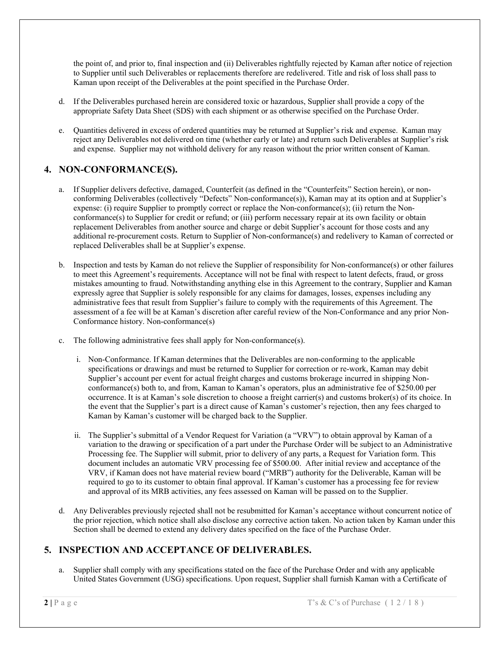the point of, and prior to, final inspection and (ii) Deliverables rightfully rejected by Kaman after notice of rejection to Supplier until such Deliverables or replacements therefore are redelivered. Title and risk of loss shall pass to Kaman upon receipt of the Deliverables at the point specified in the Purchase Order.

- d. If the Deliverables purchased herein are considered toxic or hazardous, Supplier shall provide a copy of the appropriate Safety Data Sheet (SDS) with each shipment or as otherwise specified on the Purchase Order.
- e. Quantities delivered in excess of ordered quantities may be returned at Supplier's risk and expense. Kaman may reject any Deliverables not delivered on time (whether early or late) and return such Deliverables at Supplier's risk and expense. Supplier may not withhold delivery for any reason without the prior written consent of Kaman.

# **4. NON-CONFORMANCE(S).**

- a. If Supplier delivers defective, damaged, Counterfeit (as defined in the "Counterfeits" Section herein), or nonconforming Deliverables (collectively "Defects" Non-conformance(s)), Kaman may at its option and at Supplier's expense: (i) require Supplier to promptly correct or replace the Non-conformance(s); (ii) return the Nonconformance(s) to Supplier for credit or refund; or (iii) perform necessary repair at its own facility or obtain replacement Deliverables from another source and charge or debit Supplier's account for those costs and any additional re-procurement costs. Return to Supplier of Non-conformance(s) and redelivery to Kaman of corrected or replaced Deliverables shall be at Supplier's expense.
- b. Inspection and tests by Kaman do not relieve the Supplier of responsibility for Non-conformance(s) or other failures to meet this Agreement's requirements. Acceptance will not be final with respect to latent defects, fraud, or gross mistakes amounting to fraud. Notwithstanding anything else in this Agreement to the contrary, Supplier and Kaman expressly agree that Supplier is solely responsible for any claims for damages, losses, expenses including any administrative fees that result from Supplier's failure to comply with the requirements of this Agreement. The assessment of a fee will be at Kaman's discretion after careful review of the Non-Conformance and any prior Non-Conformance history. Non-conformance(s)
- c. The following administrative fees shall apply for Non-conformance(s).
	- i. Non-Conformance. If Kaman determines that the Deliverables are non-conforming to the applicable specifications or drawings and must be returned to Supplier for correction or re-work, Kaman may debit Supplier's account per event for actual freight charges and customs brokerage incurred in shipping Nonconformance(s) both to, and from, Kaman to Kaman's operators, plus an administrative fee of \$250.00 per occurrence. It is at Kaman's sole discretion to choose a freight carrier(s) and customs broker(s) of its choice. In the event that the Supplier's part is a direct cause of Kaman's customer's rejection, then any fees charged to Kaman by Kaman's customer will be charged back to the Supplier.
	- ii. The Supplier's submittal of a Vendor Request for Variation (a "VRV") to obtain approval by Kaman of a variation to the drawing or specification of a part under the Purchase Order will be subject to an Administrative Processing fee. The Supplier will submit, prior to delivery of any parts, a Request for Variation form. This document includes an automatic VRV processing fee of \$500.00. After initial review and acceptance of the VRV, if Kaman does not have material review board ("MRB") authority for the Deliverable, Kaman will be required to go to its customer to obtain final approval. If Kaman's customer has a processing fee for review and approval of its MRB activities, any fees assessed on Kaman will be passed on to the Supplier.
- d. Any Deliverables previously rejected shall not be resubmitted for Kaman's acceptance without concurrent notice of the prior rejection, which notice shall also disclose any corrective action taken. No action taken by Kaman under this Section shall be deemed to extend any delivery dates specified on the face of the Purchase Order.

# **5. INSPECTION AND ACCEPTANCE OF DELIVERABLES.**

a. Supplier shall comply with any specifications stated on the face of the Purchase Order and with any applicable United States Government (USG) specifications. Upon request, Supplier shall furnish Kaman with a Certificate of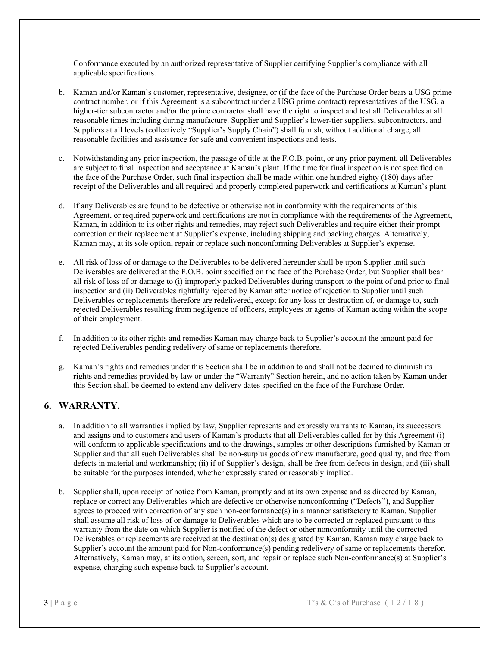Conformance executed by an authorized representative of Supplier certifying Supplier's compliance with all applicable specifications.

- b. Kaman and/or Kaman's customer, representative, designee, or (if the face of the Purchase Order bears a USG prime contract number, or if this Agreement is a subcontract under a USG prime contract) representatives of the USG, a higher-tier subcontractor and/or the prime contractor shall have the right to inspect and test all Deliverables at all reasonable times including during manufacture. Supplier and Supplier's lower-tier suppliers, subcontractors, and Suppliers at all levels (collectively "Supplier's Supply Chain") shall furnish, without additional charge, all reasonable facilities and assistance for safe and convenient inspections and tests.
- c. Notwithstanding any prior inspection, the passage of title at the F.O.B. point, or any prior payment, all Deliverables are subject to final inspection and acceptance at Kaman's plant. If the time for final inspection is not specified on the face of the Purchase Order, such final inspection shall be made within one hundred eighty (180) days after receipt of the Deliverables and all required and properly completed paperwork and certifications at Kaman's plant.
- d. If any Deliverables are found to be defective or otherwise not in conformity with the requirements of this Agreement, or required paperwork and certifications are not in compliance with the requirements of the Agreement, Kaman, in addition to its other rights and remedies, may reject such Deliverables and require either their prompt correction or their replacement at Supplier's expense, including shipping and packing charges. Alternatively, Kaman may, at its sole option, repair or replace such nonconforming Deliverables at Supplier's expense.
- e. All risk of loss of or damage to the Deliverables to be delivered hereunder shall be upon Supplier until such Deliverables are delivered at the F.O.B. point specified on the face of the Purchase Order; but Supplier shall bear all risk of loss of or damage to (i) improperly packed Deliverables during transport to the point of and prior to final inspection and (ii) Deliverables rightfully rejected by Kaman after notice of rejection to Supplier until such Deliverables or replacements therefore are redelivered, except for any loss or destruction of, or damage to, such rejected Deliverables resulting from negligence of officers, employees or agents of Kaman acting within the scope of their employment.
- f. In addition to its other rights and remedies Kaman may charge back to Supplier's account the amount paid for rejected Deliverables pending redelivery of same or replacements therefore.
- g. Kaman's rights and remedies under this Section shall be in addition to and shall not be deemed to diminish its rights and remedies provided by law or under the "Warranty" Section herein, and no action taken by Kaman under this Section shall be deemed to extend any delivery dates specified on the face of the Purchase Order.

### **6. WARRANTY.**

- a. In addition to all warranties implied by law, Supplier represents and expressly warrants to Kaman, its successors and assigns and to customers and users of Kaman's products that all Deliverables called for by this Agreement (i) will conform to applicable specifications and to the drawings, samples or other descriptions furnished by Kaman or Supplier and that all such Deliverables shall be non-surplus goods of new manufacture, good quality, and free from defects in material and workmanship; (ii) if of Supplier's design, shall be free from defects in design; and (iii) shall be suitable for the purposes intended, whether expressly stated or reasonably implied.
- b. Supplier shall, upon receipt of notice from Kaman, promptly and at its own expense and as directed by Kaman, replace or correct any Deliverables which are defective or otherwise nonconforming ("Defects"), and Supplier agrees to proceed with correction of any such non-conformance(s) in a manner satisfactory to Kaman. Supplier shall assume all risk of loss of or damage to Deliverables which are to be corrected or replaced pursuant to this warranty from the date on which Supplier is notified of the defect or other nonconformity until the corrected Deliverables or replacements are received at the destination(s) designated by Kaman. Kaman may charge back to Supplier's account the amount paid for Non-conformance(s) pending redelivery of same or replacements therefor. Alternatively, Kaman may, at its option, screen, sort, and repair or replace such Non-conformance(s) at Supplier's expense, charging such expense back to Supplier's account.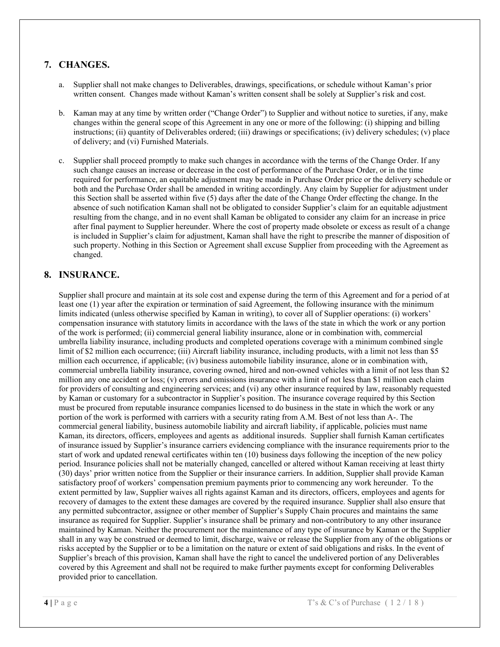## **7. CHANGES.**

- a. Supplier shall not make changes to Deliverables, drawings, specifications, or schedule without Kaman's prior written consent. Changes made without Kaman's written consent shall be solely at Supplier's risk and cost.
- b. Kaman may at any time by written order ("Change Order") to Supplier and without notice to sureties, if any, make changes within the general scope of this Agreement in any one or more of the following: (i) shipping and billing instructions; (ii) quantity of Deliverables ordered; (iii) drawings or specifications; (iv) delivery schedules; (v) place of delivery; and (vi) Furnished Materials.
- c. Supplier shall proceed promptly to make such changes in accordance with the terms of the Change Order. If any such change causes an increase or decrease in the cost of performance of the Purchase Order, or in the time required for performance, an equitable adjustment may be made in Purchase Order price or the delivery schedule or both and the Purchase Order shall be amended in writing accordingly. Any claim by Supplier for adjustment under this Section shall be asserted within five (5) days after the date of the Change Order effecting the change. In the absence of such notification Kaman shall not be obligated to consider Supplier's claim for an equitable adjustment resulting from the change, and in no event shall Kaman be obligated to consider any claim for an increase in price after final payment to Supplier hereunder. Where the cost of property made obsolete or excess as result of a change is included in Supplier's claim for adjustment, Kaman shall have the right to prescribe the manner of disposition of such property. Nothing in this Section or Agreement shall excuse Supplier from proceeding with the Agreement as changed.

### **8. INSURANCE.**

Supplier shall procure and maintain at its sole cost and expense during the term of this Agreement and for a period of at least one (1) year after the expiration or termination of said Agreement, the following insurance with the minimum limits indicated (unless otherwise specified by Kaman in writing), to cover all of Supplier operations: (i) workers' compensation insurance with statutory limits in accordance with the laws of the state in which the work or any portion of the work is performed; (ii) commercial general liability insurance, alone or in combination with, commercial umbrella liability insurance, including products and completed operations coverage with a minimum combined single limit of \$2 million each occurrence; (iii) Aircraft liability insurance, including products, with a limit not less than \$5 million each occurrence, if applicable; (iv) business automobile liability insurance, alone or in combination with, commercial umbrella liability insurance, covering owned, hired and non-owned vehicles with a limit of not less than \$2 million any one accident or loss; (v) errors and omissions insurance with a limit of not less than \$1 million each claim for providers of consulting and engineering services; and (vi) any other insurance required by law, reasonably requested by Kaman or customary for a subcontractor in Supplier's position. The insurance coverage required by this Section must be procured from reputable insurance companies licensed to do business in the state in which the work or any portion of the work is performed with carriers with a security rating from A.M. Best of not less than A-. The commercial general liability, business automobile liability and aircraft liability, if applicable, policies must name Kaman, its directors, officers, employees and agents as additional insureds. Supplier shall furnish Kaman certificates of insurance issued by Supplier's insurance carriers evidencing compliance with the insurance requirements prior to the start of work and updated renewal certificates within ten (10) business days following the inception of the new policy period. Insurance policies shall not be materially changed, cancelled or altered without Kaman receiving at least thirty (30) days' prior written notice from the Supplier or their insurance carriers. In addition, Supplier shall provide Kaman satisfactory proof of workers' compensation premium payments prior to commencing any work hereunder. To the extent permitted by law, Supplier waives all rights against Kaman and its directors, officers, employees and agents for recovery of damages to the extent these damages are covered by the required insurance. Supplier shall also ensure that any permitted subcontractor, assignee or other member of Supplier's Supply Chain procures and maintains the same insurance as required for Supplier. Supplier's insurance shall be primary and non-contributory to any other insurance maintained by Kaman. Neither the procurement nor the maintenance of any type of insurance by Kaman or the Supplier shall in any way be construed or deemed to limit, discharge, waive or release the Supplier from any of the obligations or risks accepted by the Supplier or to be a limitation on the nature or extent of said obligations and risks. In the event of Supplier's breach of this provision, Kaman shall have the right to cancel the undelivered portion of any Deliverables covered by this Agreement and shall not be required to make further payments except for conforming Deliverables provided prior to cancellation.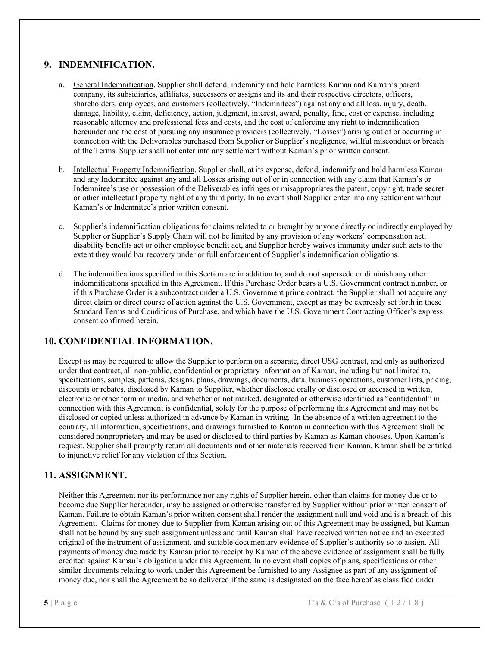## **9. INDEMNIFICATION.**

- a. General Indemnification. Supplier shall defend, indemnify and hold harmless Kaman and Kaman's parent company, its subsidiaries, affiliates, successors or assigns and its and their respective directors, officers, shareholders, employees, and customers (collectively, "Indemnitees") against any and all loss, injury, death, damage, liability, claim, deficiency, action, judgment, interest, award, penalty, fine, cost or expense, including reasonable attorney and professional fees and costs, and the cost of enforcing any right to indemnification hereunder and the cost of pursuing any insurance providers (collectively, "Losses") arising out of or occurring in connection with the Deliverables purchased from Supplier or Supplier's negligence, willful misconduct or breach of the Terms. Supplier shall not enter into any settlement without Kaman's prior written consent.
- b. Intellectual Property Indemnification. Supplier shall, at its expense, defend, indemnify and hold harmless Kaman and any Indemnitee against any and all Losses arising out of or in connection with any claim that Kaman's or Indemnitee's use or possession of the Deliverables infringes or misappropriates the patent, copyright, trade secret or other intellectual property right of any third party. In no event shall Supplier enter into any settlement without Kaman's or Indemnitee's prior written consent.
- c. Supplier's indemnification obligations for claims related to or brought by anyone directly or indirectly employed by Supplier or Supplier's Supply Chain will not be limited by any provision of any workers' compensation act, disability benefits act or other employee benefit act, and Supplier hereby waives immunity under such acts to the extent they would bar recovery under or full enforcement of Supplier's indemnification obligations.
- The indemnifications specified in this Section are in addition to, and do not supersede or diminish any other indemnifications specified in this Agreement. If this Purchase Order bears a U.S. Government contract number, or if this Purchase Order is a subcontract under a U.S. Government prime contract, the Supplier shall not acquire any direct claim or direct course of action against the U.S. Government, except as may be expressly set forth in these Standard Terms and Conditions of Purchase, and which have the U.S. Government Contracting Officer's express consent confirmed herein.

### **10. CONFIDENTIAL INFORMATION.**

Except as may be required to allow the Supplier to perform on a separate, direct USG contract, and only as authorized under that contract, all non-public, confidential or proprietary information of Kaman, including but not limited to, specifications, samples, patterns, designs, plans, drawings, documents, data, business operations, customer lists, pricing, discounts or rebates, disclosed by Kaman to Supplier, whether disclosed orally or disclosed or accessed in written, electronic or other form or media, and whether or not marked, designated or otherwise identified as "confidential" in connection with this Agreement is confidential, solely for the purpose of performing this Agreement and may not be disclosed or copied unless authorized in advance by Kaman in writing. In the absence of a written agreement to the contrary, all information, specifications, and drawings furnished to Kaman in connection with this Agreement shall be considered nonproprietary and may be used or disclosed to third parties by Kaman as Kaman chooses. Upon Kaman's request, Supplier shall promptly return all documents and other materials received from Kaman. Kaman shall be entitled to injunctive relief for any violation of this Section.

#### **11. ASSIGNMENT.**

Neither this Agreement nor its performance nor any rights of Supplier herein, other than claims for money due or to become due Supplier hereunder, may be assigned or otherwise transferred by Supplier without prior written consent of Kaman. Failure to obtain Kaman's prior written consent shall render the assignment null and void and is a breach of this Agreement. Claims for money due to Supplier from Kaman arising out of this Agreement may be assigned, but Kaman shall not be bound by any such assignment unless and until Kaman shall have received written notice and an executed original of the instrument of assignment, and suitable documentary evidence of Supplier's authority so to assign. All payments of money due made by Kaman prior to receipt by Kaman of the above evidence of assignment shall be fully credited against Kaman's obligation under this Agreement. In no event shall copies of plans, specifications or other similar documents relating to work under this Agreement be furnished to any Assignee as part of any assignment of money due, nor shall the Agreement be so delivered if the same is designated on the face hereof as classified under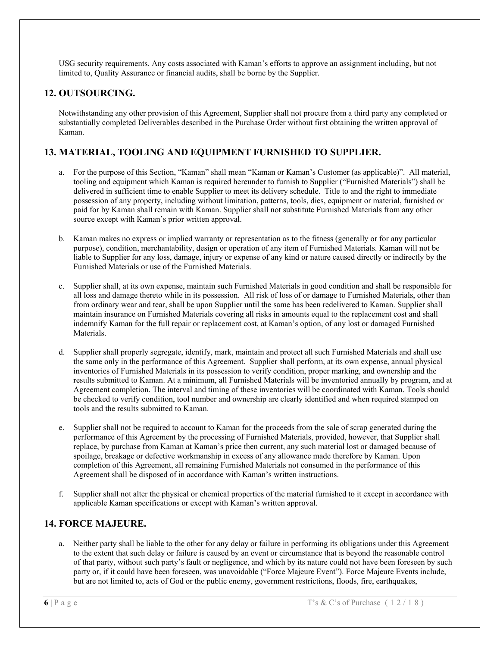USG security requirements. Any costs associated with Kaman's efforts to approve an assignment including, but not limited to, Quality Assurance or financial audits, shall be borne by the Supplier.

## **12. OUTSOURCING.**

Notwithstanding any other provision of this Agreement, Supplier shall not procure from a third party any completed or substantially completed Deliverables described in the Purchase Order without first obtaining the written approval of Kaman.

# **13. MATERIAL, TOOLING AND EQUIPMENT FURNISHED TO SUPPLIER.**

- a. For the purpose of this Section, "Kaman" shall mean "Kaman or Kaman's Customer (as applicable)". All material, tooling and equipment which Kaman is required hereunder to furnish to Supplier ("Furnished Materials") shall be delivered in sufficient time to enable Supplier to meet its delivery schedule. Title to and the right to immediate possession of any property, including without limitation, patterns, tools, dies, equipment or material, furnished or paid for by Kaman shall remain with Kaman. Supplier shall not substitute Furnished Materials from any other source except with Kaman's prior written approval.
- b. Kaman makes no express or implied warranty or representation as to the fitness (generally or for any particular purpose), condition, merchantability, design or operation of any item of Furnished Materials. Kaman will not be liable to Supplier for any loss, damage, injury or expense of any kind or nature caused directly or indirectly by the Furnished Materials or use of the Furnished Materials.
- c. Supplier shall, at its own expense, maintain such Furnished Materials in good condition and shall be responsible for all loss and damage thereto while in its possession. All risk of loss of or damage to Furnished Materials, other than from ordinary wear and tear, shall be upon Supplier until the same has been redelivered to Kaman. Supplier shall maintain insurance on Furnished Materials covering all risks in amounts equal to the replacement cost and shall indemnify Kaman for the full repair or replacement cost, at Kaman's option, of any lost or damaged Furnished Materials.
- d. Supplier shall properly segregate, identify, mark, maintain and protect all such Furnished Materials and shall use the same only in the performance of this Agreement. Supplier shall perform, at its own expense, annual physical inventories of Furnished Materials in its possession to verify condition, proper marking, and ownership and the results submitted to Kaman. At a minimum, all Furnished Materials will be inventoried annually by program, and at Agreement completion. The interval and timing of these inventories will be coordinated with Kaman. Tools should be checked to verify condition, tool number and ownership are clearly identified and when required stamped on tools and the results submitted to Kaman.
- e. Supplier shall not be required to account to Kaman for the proceeds from the sale of scrap generated during the performance of this Agreement by the processing of Furnished Materials, provided, however, that Supplier shall replace, by purchase from Kaman at Kaman's price then current, any such material lost or damaged because of spoilage, breakage or defective workmanship in excess of any allowance made therefore by Kaman. Upon completion of this Agreement, all remaining Furnished Materials not consumed in the performance of this Agreement shall be disposed of in accordance with Kaman's written instructions.
- f. Supplier shall not alter the physical or chemical properties of the material furnished to it except in accordance with applicable Kaman specifications or except with Kaman's written approval.

### **14. FORCE MAJEURE.**

a. Neither party shall be liable to the other for any delay or failure in performing its obligations under this Agreement to the extent that such delay or failure is caused by an event or circumstance that is beyond the reasonable control of that party, without such party's fault or negligence, and which by its nature could not have been foreseen by such party or, if it could have been foreseen, was unavoidable ("Force Majeure Event"). Force Majeure Events include, but are not limited to, acts of God or the public enemy, government restrictions, floods, fire, earthquakes,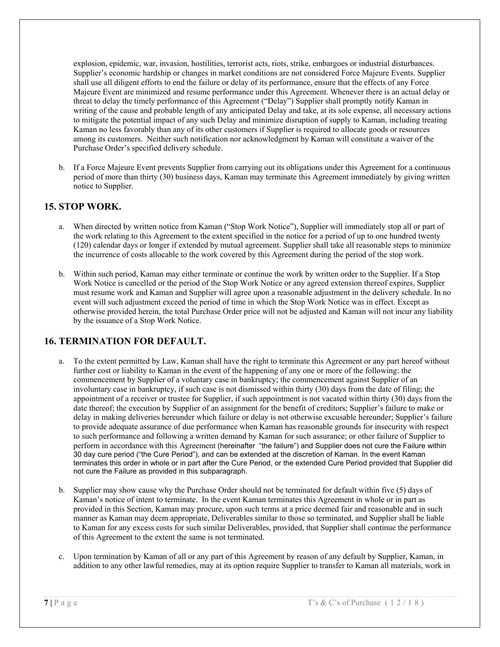explosion, epidemic, war, invasion, hostilities, terrorist acts, riots, strike, embargoes or industrial disturbances. Supplier's economic hardship or changes in market conditions are not considered Force Majeure Events. Supplier shall use all diligent efforts to end the failure or delay of its performance, ensure that the effects of any Force Majeure Event are minimized and resume performance under this Agreement. Whenever there is an actual delay or threat to delay the timely performance of this Agreement ("Delay") Supplier shall promptly notify Kaman in writing of the cause and probable length of any anticipated Delay and take, at its sole expense, all necessary actions to mitigate the potential impact of any such Delay and minimize disruption of supply to Kaman, including treating Kaman no less favorably than any of its other customers if Supplier is required to allocate goods or resources among its customers. Neither such notification nor acknowledgment by Kaman will constitute a waiver of the Purchase Order's specified delivery schedule.

b. If a Force Majeure Event prevents Supplier from carrying out its obligations under this Agreement for a continuous period of more than thirty (30) business days, Kaman may terminate this Agreement immediately by giving written notice to Supplier.

### **15. STOP WORK.**

- a. When directed by written notice from Kaman ("Stop Work Notice"), Supplier will immediately stop all or part of the work relating to this Agreement to the extent specified in the notice for a period of up to one hundred twenty (120) calendar days or longer if extended by mutual agreement. Supplier shall take all reasonable steps to minimize the incurrence of costs allocable to the work covered by this Agreement during the period of the stop work.
- b. Within such period, Kaman may either terminate or continue the work by written order to the Supplier. If a Stop Work Notice is cancelled or the period of the Stop Work Notice or any agreed extension thereof expires, Supplier must resume work and Kaman and Supplier will agree upon a reasonable adjustment in the delivery schedule. In no event will such adjustment exceed the period of time in which the Stop Work Notice was in effect. Except as otherwise provided herein, the total Purchase Order price will not be adjusted and Kaman will not incur any liability by the issuance of a Stop Work Notice.

### **16. TERMINATION FOR DEFAULT.**

- a. To the extent permitted by Law, Kaman shall have the right to terminate this Agreement or any part hereof without further cost or liability to Kaman in the event of the happening of any one or more of the following: the commencement by Supplier of a voluntary case in bankruptcy; the commencement against Supplier of an involuntary case in bankruptcy, if such case is not dismissed within thirty (30) days from the date of filing; the appointment of a receiver or trustee for Supplier, if such appointment is not vacated within thirty (30) days from the date thereof; the execution by Supplier of an assignment for the benefit of creditors; Supplier's failure to make or delay in making deliveries hereunder which failure or delay is not otherwise excusable hereunder; Supplier's failure to provide adequate assurance of due performance when Kaman has reasonable grounds for insecurity with respect to such performance and following a written demand by Kaman for such assurance; or other failure of Supplier to perform in accordance with this Agreement (hereinafter "the failure") and Supplier does not cure the Failure within 30 day cure period ("the Cure Period"), and can be extended at the discretion of Kaman. In the event Kaman terminates this order in whole or in part after the Cure Period, or the extended Cure Period provided that Supplier did not cure the Failure as provided in this subparagraph.
- b. Supplier may show cause why the Purchase Order should not be terminated for default within five (5) days of Kaman's notice of intent to terminate. In the event Kaman terminates this Agreement in whole or in part as provided in this Section, Kaman may procure, upon such terms at a price deemed fair and reasonable and in such manner as Kaman may deem appropriate, Deliverables similar to those so terminated, and Supplier shall be liable to Kaman for any excess costs for such similar Deliverables, provided, that Supplier shall continue the performance of this Agreement to the extent the same is not terminated.
- c. Upon termination by Kaman of all or any part of this Agreement by reason of any default by Supplier, Kaman, in addition to any other lawful remedies, may at its option require Supplier to transfer to Kaman all materials, work in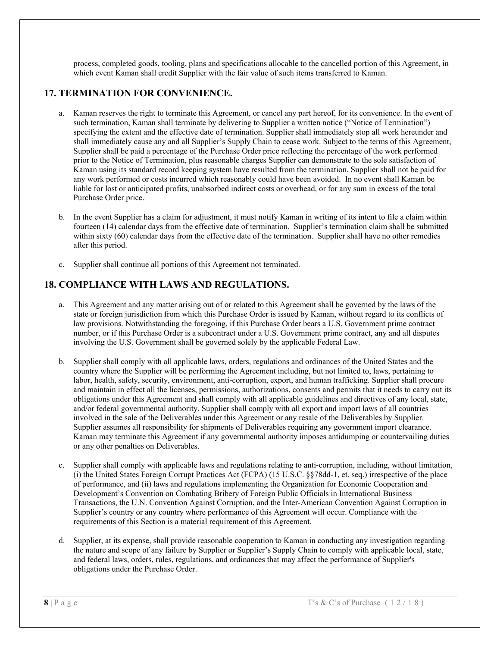process, completed goods, tooling, plans and specifications allocable to the cancelled portion of this Agreement, in which event Kaman shall credit Supplier with the fair value of such items transferred to Kaman.

# **17. TERMINATION FOR CONVENIENCE.**

- a. Kaman reserves the right to terminate this Agreement, or cancel any part hereof, for its convenience. In the event of such termination, Kaman shall terminate by delivering to Supplier a written notice ("Notice of Termination") specifying the extent and the effective date of termination. Supplier shall immediately stop all work hereunder and shall immediately cause any and all Supplier's Supply Chain to cease work. Subject to the terms of this Agreement, Supplier shall be paid a percentage of the Purchase Order price reflecting the percentage of the work performed prior to the Notice of Termination, plus reasonable charges Supplier can demonstrate to the sole satisfaction of Kaman using its standard record keeping system have resulted from the termination. Supplier shall not be paid for any work performed or costs incurred which reasonably could have been avoided. In no event shall Kaman be liable for lost or anticipated profits, unabsorbed indirect costs or overhead, or for any sum in excess of the total Purchase Order price.
- b. In the event Supplier has a claim for adjustment, it must notify Kaman in writing of its intent to file a claim within fourteen (14) calendar days from the effective date of termination. Supplier's termination claim shall be submitted within sixty (60) calendar days from the effective date of the termination. Supplier shall have no other remedies after this period.
- c. Supplier shall continue all portions of this Agreement not terminated.

# **18. COMPLIANCE WITH LAWS AND REGULATIONS.**

- a. This Agreement and any matter arising out of or related to this Agreement shall be governed by the laws of the state or foreign jurisdiction from which this Purchase Order is issued by Kaman, without regard to its conflicts of law provisions. Notwithstanding the foregoing, if this Purchase Order bears a U.S. Government prime contract number, or if this Purchase Order is a subcontract under a U.S. Government prime contract, any and all disputes involving the U.S. Government shall be governed solely by the applicable Federal Law.
- b. Supplier shall comply with all applicable laws, orders, regulations and ordinances of the United States and the country where the Supplier will be performing the Agreement including, but not limited to, laws, pertaining to labor, health, safety, security, environment, anti-corruption, export, and human trafficking. Supplier shall procure and maintain in effect all the licenses, permissions, authorizations, consents and permits that it needs to carry out its obligations under this Agreement and shall comply with all applicable guidelines and directives of any local, state, and/or federal governmental authority. Supplier shall comply with all export and import laws of all countries involved in the sale of the Deliverables under this Agreement or any resale of the Deliverables by Supplier. Supplier assumes all responsibility for shipments of Deliverables requiring any government import clearance. Kaman may terminate this Agreement if any governmental authority imposes antidumping or countervailing duties or any other penalties on Deliverables.
- c. Supplier shall comply with applicable laws and regulations relating to anti-corruption, including, without limitation, (i) the United States Foreign Corrupt Practices Act (FCPA) (15 U.S.C. §§78dd-1, et. seq.) irrespective of the place of performance, and (ii) laws and regulations implementing the Organization for Economic Cooperation and Development's Convention on Combating Bribery of Foreign Public Officials in International Business Transactions, the U.N. Convention Against Corruption, and the Inter-American Convention Against Corruption in Supplier's country or any country where performance of this Agreement will occur. Compliance with the requirements of this Section is a material requirement of this Agreement.
- d. Supplier, at its expense, shall provide reasonable cooperation to Kaman in conducting any investigation regarding the nature and scope of any failure by Supplier or Supplier's Supply Chain to comply with applicable local, state, and federal laws, orders, rules, regulations, and ordinances that may affect the performance of Supplier's obligations under the Purchase Order.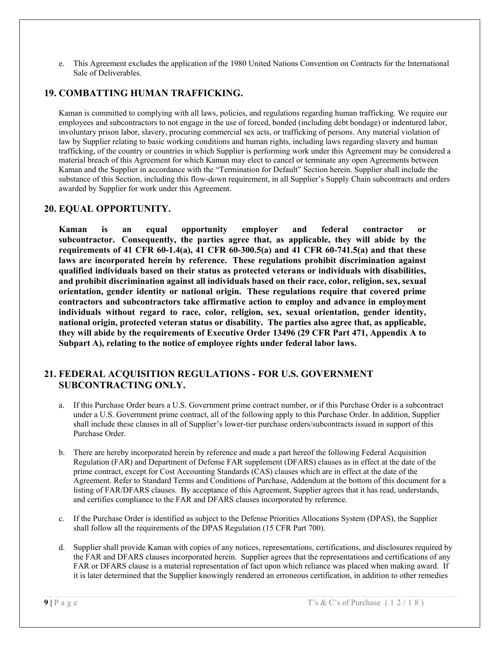e. This Agreement excludes the application of the 1980 United Nations Convention on Contracts for the International Sale of Deliverables.

### **19. COMBATTING HUMAN TRAFFICKING.**

Kaman is committed to complying with all laws, policies, and regulations regarding human trafficking. We require our employees and subcontractors to not engage in the use of forced, bonded (including debt bondage) or indentured labor, involuntary prison labor, slavery, procuring commercial sex acts, or trafficking of persons. Any material violation of law by Supplier relating to basic working conditions and human rights, including laws regarding slavery and human trafficking, of the country or countries in which Supplier is performing work under this Agreement may be considered a material breach of this Agreement for which Kaman may elect to cancel or terminate any open Agreements between Kaman and the Supplier in accordance with the "Termination for Default" Section herein. Supplier shall include the substance of this Section, including this flow-down requirement, in all Supplier's Supply Chain subcontracts and orders awarded by Supplier for work under this Agreement.

#### **20. EQUAL OPPORTUNITY.**

**Kaman is an equal opportunity employer and federal contractor or subcontractor. Consequently, the parties agree that, as applicable, they will abide by the requirements of 41 CFR 60-1.4(a), 41 CFR 60-300.5(a) and 41 CFR 60-741.5(a) and that these laws are incorporated herein by reference. These regulations prohibit discrimination against qualified individuals based on their status as protected veterans or individuals with disabilities, and prohibit discrimination against all individuals based on their race, color, religion, sex, sexual orientation, gender identity or national origin. These regulations require that covered prime contractors and subcontractors take affirmative action to employ and advance in employment individuals without regard to race, color, religion, sex, sexual orientation, gender identity, national origin, protected veteran status or disability. The parties also agree that, as applicable, they will abide by the requirements of Executive Order 13496 (29 CFR Part 471, Appendix A to Subpart A), relating to the notice of employee rights under federal labor laws.** 

#### **21. FEDERAL ACQUISITION REGULATIONS - FOR U.S. GOVERNMENT SUBCONTRACTING ONLY.**

- a. If this Purchase Order bears a U.S. Government prime contract number, or if this Purchase Order is a subcontract under a U.S. Government prime contract, all of the following apply to this Purchase Order. In addition, Supplier shall include these clauses in all of Supplier's lower-tier purchase orders/subcontracts issued in support of this Purchase Order.
- b. There are hereby incorporated herein by reference and made a part hereof the following Federal Acquisition Regulation (FAR) and Department of Defense FAR supplement (DFARS) clauses as in effect at the date of the prime contract, except for Cost Accounting Standards (CAS) clauses which are in effect at the date of the Agreement. Refer to Standard Terms and Conditions of Purchase, Addendum at the bottom of this document for a listing of FAR/DFARS clauses. By acceptance of this Agreement, Supplier agrees that it has read, understands, and certifies compliance to the FAR and DFARS clauses incorporated by reference.
- c. If the Purchase Order is identified as subject to the Defense Priorities Allocations System (DPAS), the Supplier shall follow all the requirements of the DPAS Regulation (15 CFR Part 700).
- d. Supplier shall provide Kaman with copies of any notices, representations, certifications, and disclosures required by the FAR and DFARS clauses incorporated herein. Supplier agrees that the representations and certifications of any FAR or DFARS clause is a material representation of fact upon which reliance was placed when making award. If it is later determined that the Supplier knowingly rendered an erroneous certification, in addition to other remedies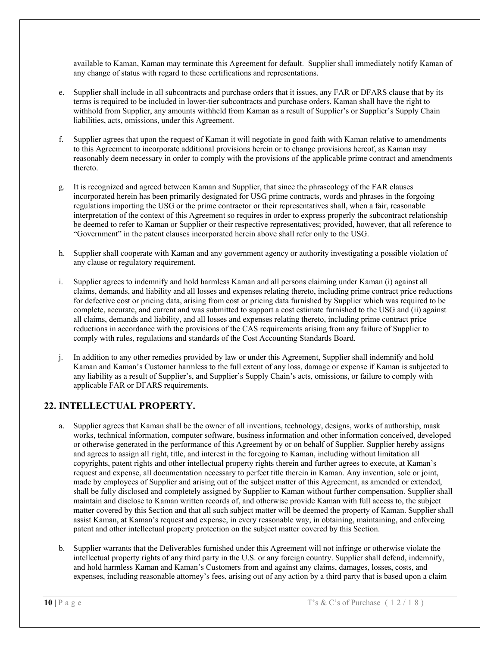available to Kaman, Kaman may terminate this Agreement for default. Supplier shall immediately notify Kaman of any change of status with regard to these certifications and representations.

- e. Supplier shall include in all subcontracts and purchase orders that it issues, any FAR or DFARS clause that by its terms is required to be included in lower-tier subcontracts and purchase orders. Kaman shall have the right to withhold from Supplier, any amounts withheld from Kaman as a result of Supplier's or Supplier's Supply Chain liabilities, acts, omissions, under this Agreement.
- f. Supplier agrees that upon the request of Kaman it will negotiate in good faith with Kaman relative to amendments to this Agreement to incorporate additional provisions herein or to change provisions hereof, as Kaman may reasonably deem necessary in order to comply with the provisions of the applicable prime contract and amendments thereto.
- g. It is recognized and agreed between Kaman and Supplier, that since the phraseology of the FAR clauses incorporated herein has been primarily designated for USG prime contracts, words and phrases in the forgoing regulations importing the USG or the prime contractor or their representatives shall, when a fair, reasonable interpretation of the context of this Agreement so requires in order to express properly the subcontract relationship be deemed to refer to Kaman or Supplier or their respective representatives; provided, however, that all reference to "Government" in the patent clauses incorporated herein above shall refer only to the USG.
- h. Supplier shall cooperate with Kaman and any government agency or authority investigating a possible violation of any clause or regulatory requirement.
- i. Supplier agrees to indemnify and hold harmless Kaman and all persons claiming under Kaman (i) against all claims, demands, and liability and all losses and expenses relating thereto, including prime contract price reductions for defective cost or pricing data, arising from cost or pricing data furnished by Supplier which was required to be complete, accurate, and current and was submitted to support a cost estimate furnished to the USG and (ii) against all claims, demands and liability, and all losses and expenses relating thereto, including prime contract price reductions in accordance with the provisions of the CAS requirements arising from any failure of Supplier to comply with rules, regulations and standards of the Cost Accounting Standards Board.
- j. In addition to any other remedies provided by law or under this Agreement, Supplier shall indemnify and hold Kaman and Kaman's Customer harmless to the full extent of any loss, damage or expense if Kaman is subjected to any liability as a result of Supplier's, and Supplier's Supply Chain's acts, omissions, or failure to comply with applicable FAR or DFARS requirements.

# **22. INTELLECTUAL PROPERTY.**

- a. Supplier agrees that Kaman shall be the owner of all inventions, technology, designs, works of authorship, mask works, technical information, computer software, business information and other information conceived, developed or otherwise generated in the performance of this Agreement by or on behalf of Supplier. Supplier hereby assigns and agrees to assign all right, title, and interest in the foregoing to Kaman, including without limitation all copyrights, patent rights and other intellectual property rights therein and further agrees to execute, at Kaman's request and expense, all documentation necessary to perfect title therein in Kaman. Any invention, sole or joint, made by employees of Supplier and arising out of the subject matter of this Agreement, as amended or extended, shall be fully disclosed and completely assigned by Supplier to Kaman without further compensation. Supplier shall maintain and disclose to Kaman written records of, and otherwise provide Kaman with full access to, the subject matter covered by this Section and that all such subject matter will be deemed the property of Kaman. Supplier shall assist Kaman, at Kaman's request and expense, in every reasonable way, in obtaining, maintaining, and enforcing patent and other intellectual property protection on the subject matter covered by this Section.
- b. Supplier warrants that the Deliverables furnished under this Agreement will not infringe or otherwise violate the intellectual property rights of any third party in the U.S. or any foreign country. Supplier shall defend, indemnify, and hold harmless Kaman and Kaman's Customers from and against any claims, damages, losses, costs, and expenses, including reasonable attorney's fees, arising out of any action by a third party that is based upon a claim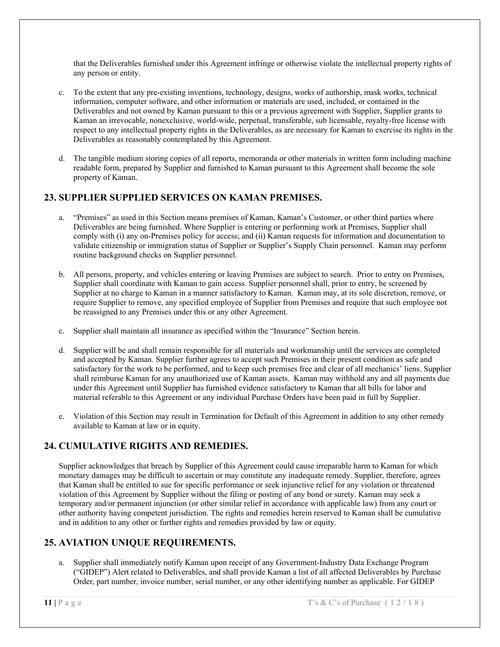that the Deliverables furnished under this Agreement infringe or otherwise violate the intellectual property rights of any person or entity.

- To the extent that any pre-existing inventions, technology, designs, works of authorship, mask works, technical information, computer software, and other information or materials are used, included, or contained in the Deliverables and not owned by Kaman pursuant to this or a previous agreement with Supplier, Supplier grants to Kaman an irrevocable, nonexclusive, world-wide, perpetual, transferable, sub licensable, royalty-free license with respect to any intellectual property rights in the Deliverables, as are necessary for Kaman to exercise its rights in the Deliverables as reasonably contemplated by this Agreement.
- d. The tangible medium storing copies of all reports, memoranda or other materials in written form including machine readable form, prepared by Supplier and furnished to Kaman pursuant to this Agreement shall become the sole property of Kaman.

# **23. SUPPLIER SUPPLIED SERVICES ON KAMAN PREMISES.**

- a. "Premises" as used in this Section means premises of Kaman, Kaman's Customer, or other third parties where Deliverables are being furnished. Where Supplier is entering or performing work at Premises, Supplier shall comply with (i) any on-Premises policy for access; and (ii) Kaman requests for information and documentation to validate citizenship or immigration status of Supplier or Supplier's Supply Chain personnel. Kaman may perform routine background checks on Supplier personnel.
- b. All persons, property, and vehicles entering or leaving Premises are subject to search. Prior to entry on Premises, Supplier shall coordinate with Kaman to gain access. Supplier personnel shall, prior to entry, be screened by Supplier at no charge to Kaman in a manner satisfactory to Kaman. Kaman may, at its sole discretion, remove, or require Supplier to remove, any specified employee of Supplier from Premises and require that such employee not be reassigned to any Premises under this or any other Agreement.
- c. Supplier shall maintain all insurance as specified within the "Insurance" Section herein.
- d. Supplier will be and shall remain responsible for all materials and workmanship until the services are completed and accepted by Kaman. Supplier further agrees to accept such Premises in their present condition as safe and satisfactory for the work to be performed, and to keep such premises free and clear of all mechanics' liens. Supplier shall reimburse Kaman for any unauthorized use of Kaman assets. Kaman may withhold any and all payments due under this Agreement until Supplier has furnished evidence satisfactory to Kaman that all bills for labor and material referable to this Agreement or any individual Purchase Orders have been paid in full by Supplier.
- e. Violation of this Section may result in Termination for Default of this Agreement in addition to any other remedy available to Kaman at law or in equity.

# **24. CUMULATIVE RIGHTS AND REMEDIES.**

Supplier acknowledges that breach by Supplier of this Agreement could cause irreparable harm to Kaman for which monetary damages may be difficult to ascertain or may constitute any inadequate remedy. Supplier, therefore, agrees that Kaman shall be entitled to sue for specific performance or seek injunctive relief for any violation or threatened violation of this Agreement by Supplier without the filing or posting of any bond or surety. Kaman may seek a temporary and/or permanent injunction (or other similar relief in accordance with applicable law) from any court or other authority having competent jurisdiction. The rights and remedies herein reserved to Kaman shall be cumulative and in addition to any other or further rights and remedies provided by law or equity.

# **25. AVIATION UNIQUE REQUIREMENTS.**

a. Supplier shall immediately notify Kaman upon receipt of any Government-Industry Data Exchange Program ("GIDEP") Alert related to Deliverables, and shall provide Kaman a list of all affected Deliverables by Purchase Order, part number, invoice number, serial number, or any other identifying number as applicable. For GIDEP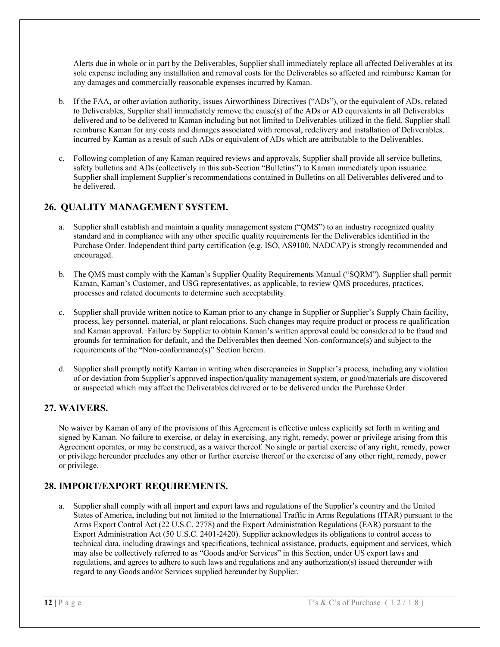Alerts due in whole or in part by the Deliverables, Supplier shall immediately replace all affected Deliverables at its sole expense including any installation and removal costs for the Deliverables so affected and reimburse Kaman for any damages and commercially reasonable expenses incurred by Kaman.

- b. If the FAA, or other aviation authority, issues Airworthiness Directives ("ADs"), or the equivalent of ADs, related to Deliverables, Supplier shall immediately remove the cause(s) of the ADs or AD equivalents in all Deliverables delivered and to be delivered to Kaman including but not limited to Deliverables utilized in the field. Supplier shall reimburse Kaman for any costs and damages associated with removal, redelivery and installation of Deliverables, incurred by Kaman as a result of such ADs or equivalent of ADs which are attributable to the Deliverables.
- c. Following completion of any Kaman required reviews and approvals, Supplier shall provide all service bulletins, safety bulletins and ADs (collectively in this sub-Section "Bulletins") to Kaman immediately upon issuance. Supplier shall implement Supplier's recommendations contained in Bulletins on all Deliverables delivered and to be delivered.

# **26. QUALITY MANAGEMENT SYSTEM.**

- a. Supplier shall establish and maintain a quality management system ("QMS") to an industry recognized quality standard and in compliance with any other specific quality requirements for the Deliverables identified in the Purchase Order. Independent third party certification (e.g. ISO, AS9100, NADCAP) is strongly recommended and encouraged.
- b. The QMS must comply with the Kaman's Supplier Quality Requirements Manual ("SQRM"). Supplier shall permit Kaman, Kaman's Customer, and USG representatives, as applicable, to review QMS procedures, practices, processes and related documents to determine such acceptability.
- c. Supplier shall provide written notice to Kaman prior to any change in Supplier or Supplier's Supply Chain facility, process, key personnel, material, or plant relocations. Such changes may require product or process re qualification and Kaman approval. Failure by Supplier to obtain Kaman's written approval could be considered to be fraud and grounds for termination for default, and the Deliverables then deemed Non-conformance(s) and subject to the requirements of the "Non-conformance(s)" Section herein.
- d. Supplier shall promptly notify Kaman in writing when discrepancies in Supplier's process, including any violation of or deviation from Supplier's approved inspection/quality management system, or good/materials are discovered or suspected which may affect the Deliverables delivered or to be delivered under the Purchase Order.

### **27. WAIVERS.**

No waiver by Kaman of any of the provisions of this Agreement is effective unless explicitly set forth in writing and signed by Kaman. No failure to exercise, or delay in exercising, any right, remedy, power or privilege arising from this Agreement operates, or may be construed, as a waiver thereof. No single or partial exercise of any right, remedy, power or privilege hereunder precludes any other or further exercise thereof or the exercise of any other right, remedy, power or privilege.

# **28. IMPORT/EXPORT REQUIREMENTS.**

a. Supplier shall comply with all import and export laws and regulations of the Supplier's country and the United States of America, including but not limited to the International Traffic in Arms Regulations (ITAR) pursuant to the Arms Export Control Act (22 U.S.C. 2778) and the Export Administration Regulations (EAR) pursuant to the Export Administration Act (50 U.S.C. 2401-2420). Supplier acknowledges its obligations to control access to technical data, including drawings and specifications, technical assistance, products, equipment and services, which may also be collectively referred to as "Goods and/or Services" in this Section, under US export laws and regulations, and agrees to adhere to such laws and regulations and any authorization(s) issued thereunder with regard to any Goods and/or Services supplied hereunder by Supplier.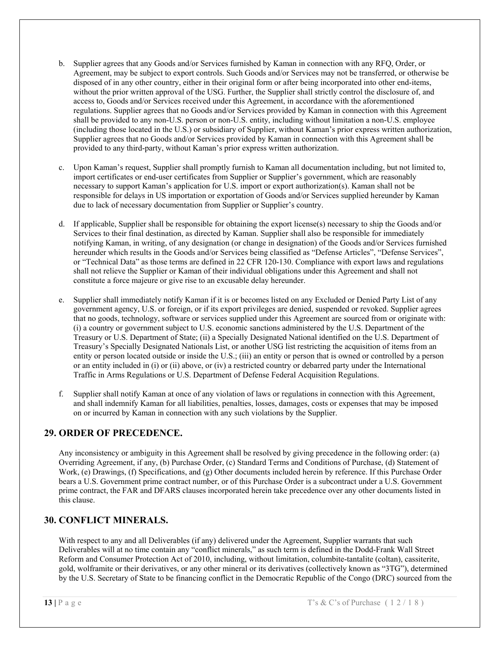- b. Supplier agrees that any Goods and/or Services furnished by Kaman in connection with any RFQ, Order, or Agreement, may be subject to export controls. Such Goods and/or Services may not be transferred, or otherwise be disposed of in any other country, either in their original form or after being incorporated into other end-items, without the prior written approval of the USG. Further, the Supplier shall strictly control the disclosure of, and access to, Goods and/or Services received under this Agreement, in accordance with the aforementioned regulations. Supplier agrees that no Goods and/or Services provided by Kaman in connection with this Agreement shall be provided to any non-U.S. person or non-U.S. entity, including without limitation a non-U.S. employee (including those located in the U.S.) or subsidiary of Supplier, without Kaman's prior express written authorization, Supplier agrees that no Goods and/or Services provided by Kaman in connection with this Agreement shall be provided to any third-party, without Kaman's prior express written authorization.
- c. Upon Kaman's request, Supplier shall promptly furnish to Kaman all documentation including, but not limited to, import certificates or end-user certificates from Supplier or Supplier's government, which are reasonably necessary to support Kaman's application for U.S. import or export authorization(s). Kaman shall not be responsible for delays in US importation or exportation of Goods and/or Services supplied hereunder by Kaman due to lack of necessary documentation from Supplier or Supplier's country.
- d. If applicable, Supplier shall be responsible for obtaining the export license(s) necessary to ship the Goods and/or Services to their final destination, as directed by Kaman. Supplier shall also be responsible for immediately notifying Kaman, in writing, of any designation (or change in designation) of the Goods and/or Services furnished hereunder which results in the Goods and/or Services being classified as "Defense Articles", "Defense Services", or "Technical Data" as those terms are defined in 22 CFR 120-130. Compliance with export laws and regulations shall not relieve the Supplier or Kaman of their individual obligations under this Agreement and shall not constitute a force majeure or give rise to an excusable delay hereunder.
- e. Supplier shall immediately notify Kaman if it is or becomes listed on any Excluded or Denied Party List of any government agency, U.S. or foreign, or if its export privileges are denied, suspended or revoked. Supplier agrees that no goods, technology, software or services supplied under this Agreement are sourced from or originate with: (i) a country or government subject to U.S. economic sanctions administered by the U.S. Department of the Treasury or U.S. Department of State; (ii) a Specially Designated National identified on the U.S. Department of Treasury's Specially Designated Nationals List, or another USG list restricting the acquisition of items from an entity or person located outside or inside the U.S.; (iii) an entity or person that is owned or controlled by a person or an entity included in (i) or (ii) above, or (iv) a restricted country or debarred party under the International Traffic in Arms Regulations or U.S. Department of Defense Federal Acquisition Regulations.
- f. Supplier shall notify Kaman at once of any violation of laws or regulations in connection with this Agreement, and shall indemnify Kaman for all liabilities, penalties, losses, damages, costs or expenses that may be imposed on or incurred by Kaman in connection with any such violations by the Supplier.

### **29. ORDER OF PRECEDENCE.**

Any inconsistency or ambiguity in this Agreement shall be resolved by giving precedence in the following order: (a) Overriding Agreement, if any, (b) Purchase Order, (c) Standard Terms and Conditions of Purchase, (d) Statement of Work, (e) Drawings, (f) Specifications, and (g) Other documents included herein by reference. If this Purchase Order bears a U.S. Government prime contract number, or of this Purchase Order is a subcontract under a U.S. Government prime contract, the FAR and DFARS clauses incorporated herein take precedence over any other documents listed in this clause.

### **30. CONFLICT MINERALS.**

With respect to any and all Deliverables (if any) delivered under the Agreement, Supplier warrants that such Deliverables will at no time contain any "conflict minerals," as such term is defined in the Dodd-Frank Wall Street Reform and Consumer Protection Act of 2010, including, without limitation, columbite-tantalite (coltan), cassiterite, gold, wolframite or their derivatives, or any other mineral or its derivatives (collectively known as "3TG"), determined by the U.S. Secretary of State to be financing conflict in the Democratic Republic of the Congo (DRC) sourced from the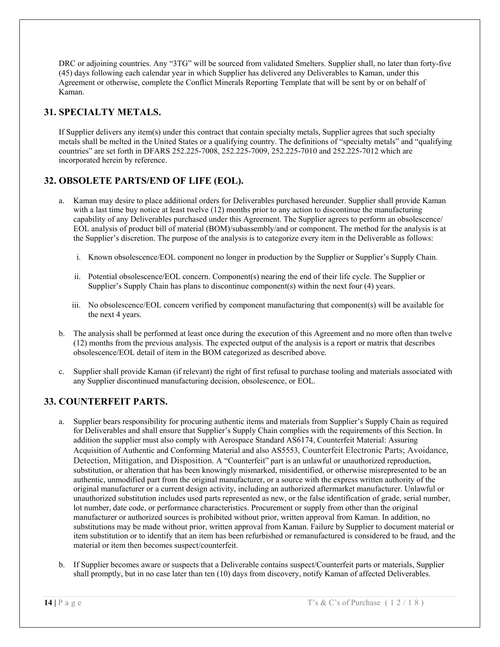DRC or adjoining countries. Any "3TG" will be sourced from validated Smelters. Supplier shall, no later than forty-five (45) days following each calendar year in which Supplier has delivered any Deliverables to Kaman, under this Agreement or otherwise, complete the Conflict Minerals Reporting Template that will be sent by or on behalf of Kaman.

# **31. SPECIALTY METALS.**

If Supplier delivers any item(s) under this contract that contain specialty metals, Supplier agrees that such specialty metals shall be melted in the United States or a qualifying country. The definitions of "specialty metals" and "qualifying countries" are set forth in DFARS 252.225-7008, 252.225-7009, 252.225-7010 and 252.225-7012 which are incorporated herein by reference.

# **32. OBSOLETE PARTS/END OF LIFE (EOL).**

- a. Kaman may desire to place additional orders for Deliverables purchased hereunder. Supplier shall provide Kaman with a last time buy notice at least twelve (12) months prior to any action to discontinue the manufacturing capability of any Deliverables purchased under this Agreement. The Supplier agrees to perform an obsolescence/ EOL analysis of product bill of material (BOM)/subassembly/and or component. The method for the analysis is at the Supplier's discretion. The purpose of the analysis is to categorize every item in the Deliverable as follows:
	- i. Known obsolescence/EOL component no longer in production by the Supplier or Supplier's Supply Chain.
	- ii. Potential obsolescence/EOL concern. Component(s) nearing the end of their life cycle. The Supplier or Supplier's Supply Chain has plans to discontinue component(s) within the next four (4) years.
	- iii. No obsolescence/EOL concern verified by component manufacturing that component(s) will be available for the next 4 years.
- b. The analysis shall be performed at least once during the execution of this Agreement and no more often than twelve (12) months from the previous analysis. The expected output of the analysis is a report or matrix that describes obsolescence/EOL detail of item in the BOM categorized as described above.
- c. Supplier shall provide Kaman (if relevant) the right of first refusal to purchase tooling and materials associated with any Supplier discontinued manufacturing decision, obsolescence, or EOL.

# **33. COUNTERFEIT PARTS.**

- a. Supplier bears responsibility for procuring authentic items and materials from Supplier's Supply Chain as required for Deliverables and shall ensure that Supplier's Supply Chain complies with the requirements of this Section. In addition the supplier must also comply with Aerospace Standard AS6174, Counterfeit Material: Assuring Acquisition of Authentic and Conforming Material and also AS5553, Counterfeit Electronic Parts; Avoidance, Detection, Mitigation, and Disposition. A "Counterfeit" part is an unlawful or unauthorized reproduction, substitution, or alteration that has been knowingly mismarked, misidentified, or otherwise misrepresented to be an authentic, unmodified part from the original manufacturer, or a source with the express written authority of the original manufacturer or a current design activity, including an authorized aftermarket manufacturer. Unlawful or unauthorized substitution includes used parts represented as new, or the false identification of grade, serial number, lot number, date code, or performance characteristics. Procurement or supply from other than the original manufacturer or authorized sources is prohibited without prior, written approval from Kaman. In addition, no substitutions may be made without prior, written approval from Kaman. Failure by Supplier to document material or item substitution or to identify that an item has been refurbished or remanufactured is considered to be fraud, and the material or item then becomes suspect/counterfeit.
- b. If Supplier becomes aware or suspects that a Deliverable contains suspect/Counterfeit parts or materials, Supplier shall promptly, but in no case later than ten (10) days from discovery, notify Kaman of affected Deliverables.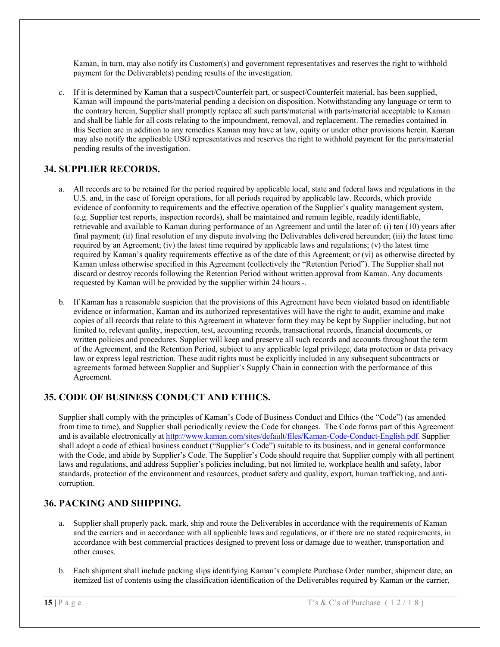Kaman, in turn, may also notify its Customer(s) and government representatives and reserves the right to withhold payment for the Deliverable(s) pending results of the investigation.

c. If it is determined by Kaman that a suspect/Counterfeit part, or suspect/Counterfeit material, has been supplied, Kaman will impound the parts/material pending a decision on disposition. Notwithstanding any language or term to the contrary herein, Supplier shall promptly replace all such parts/material with parts/material acceptable to Kaman and shall be liable for all costs relating to the impoundment, removal, and replacement. The remedies contained in this Section are in addition to any remedies Kaman may have at law, equity or under other provisions herein. Kaman may also notify the applicable USG representatives and reserves the right to withhold payment for the parts/material pending results of the investigation.

# **34. SUPPLIER RECORDS.**

- a. All records are to be retained for the period required by applicable local, state and federal laws and regulations in the U.S. and, in the case of foreign operations, for all periods required by applicable law. Records, which provide evidence of conformity to requirements and the effective operation of the Supplier's quality management system, (e.g. Supplier test reports, inspection records), shall be maintained and remain legible, readily identifiable, retrievable and available to Kaman during performance of an Agreement and until the later of: (i) ten (10) years after final payment; (ii) final resolution of any dispute involving the Deliverables delivered hereunder; (iii) the latest time required by an Agreement; (iv) the latest time required by applicable laws and regulations; (v) the latest time required by Kaman's quality requirements effective as of the date of this Agreement; or (vi) as otherwise directed by Kaman unless otherwise specified in this Agreement (collectively the "Retention Period"). The Supplier shall not discard or destroy records following the Retention Period without written approval from Kaman. Any documents requested by Kaman will be provided by the supplier within 24 hours -.
- b. If Kaman has a reasonable suspicion that the provisions of this Agreement have been violated based on identifiable evidence or information, Kaman and its authorized representatives will have the right to audit, examine and make copies of all records that relate to this Agreement in whatever form they may be kept by Supplier including, but not limited to, relevant quality, inspection, test, accounting records, transactional records, financial documents, or written policies and procedures. Supplier will keep and preserve all such records and accounts throughout the term of the Agreement, and the Retention Period, subject to any applicable legal privilege, data protection or data privacy law or express legal restriction. These audit rights must be explicitly included in any subsequent subcontracts or agreements formed between Supplier and Supplier's Supply Chain in connection with the performance of this Agreement.

# **35. CODE OF BUSINESS CONDUCT AND ETHICS.**

Supplier shall comply with the principles of Kaman's Code of Business Conduct and Ethics (the "Code") (as amended from time to time), and Supplier shall periodically review the Code for changes. The Code forms part of this Agreement and is available electronically at http://www.kaman.com/sites/default/files/Kaman-Code-Conduct-English.pdf. Supplier shall adopt a code of ethical business conduct ("Supplier's Code") suitable to its business, and in general conformance with the Code, and abide by Supplier's Code. The Supplier's Code should require that Supplier comply with all pertinent laws and regulations, and address Supplier's policies including, but not limited to, workplace health and safety, labor standards, protection of the environment and resources, product safety and quality, export, human trafficking, and anticorruption.

### **36. PACKING AND SHIPPING.**

- a. Supplier shall properly pack, mark, ship and route the Deliverables in accordance with the requirements of Kaman and the carriers and in accordance with all applicable laws and regulations, or if there are no stated requirements, in accordance with best commercial practices designed to prevent loss or damage due to weather, transportation and other causes.
- b. Each shipment shall include packing slips identifying Kaman's complete Purchase Order number, shipment date, an itemized list of contents using the classification identification of the Deliverables required by Kaman or the carrier,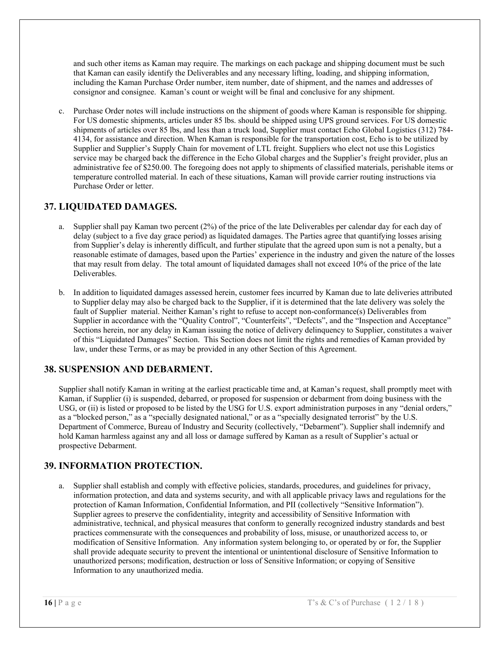and such other items as Kaman may require. The markings on each package and shipping document must be such that Kaman can easily identify the Deliverables and any necessary lifting, loading, and shipping information, including the Kaman Purchase Order number, item number, date of shipment, and the names and addresses of consignor and consignee. Kaman's count or weight will be final and conclusive for any shipment.

c. Purchase Order notes will include instructions on the shipment of goods where Kaman is responsible for shipping. For US domestic shipments, articles under 85 lbs. should be shipped using UPS ground services. For US domestic shipments of articles over 85 lbs, and less than a truck load, Supplier must contact Echo Global Logistics (312) 784- 4134, for assistance and direction. When Kaman is responsible for the transportation cost, Echo is to be utilized by Supplier and Supplier's Supply Chain for movement of LTL freight. Suppliers who elect not use this Logistics service may be charged back the difference in the Echo Global charges and the Supplier's freight provider, plus an administrative fee of \$250.00. The foregoing does not apply to shipments of classified materials, perishable items or temperature controlled material. In each of these situations, Kaman will provide carrier routing instructions via Purchase Order or letter.

### **37. LIQUIDATED DAMAGES.**

- a. Supplier shall pay Kaman two percent (2%) of the price of the late Deliverables per calendar day for each day of delay (subject to a five day grace period) as liquidated damages. The Parties agree that quantifying losses arising from Supplier's delay is inherently difficult, and further stipulate that the agreed upon sum is not a penalty, but a reasonable estimate of damages, based upon the Parties' experience in the industry and given the nature of the losses that may result from delay. The total amount of liquidated damages shall not exceed 10% of the price of the late Deliverables.
- b. In addition to liquidated damages assessed herein, customer fees incurred by Kaman due to late deliveries attributed to Supplier delay may also be charged back to the Supplier, if it is determined that the late delivery was solely the fault of Supplier material. Neither Kaman's right to refuse to accept non-conformance(s) Deliverables from Supplier in accordance with the "Quality Control", "Counterfeits", "Defects", and the "Inspection and Acceptance" Sections herein, nor any delay in Kaman issuing the notice of delivery delinquency to Supplier, constitutes a waiver of this "Liquidated Damages" Section. This Section does not limit the rights and remedies of Kaman provided by law, under these Terms, or as may be provided in any other Section of this Agreement.

### **38. SUSPENSION AND DEBARMENT.**

Supplier shall notify Kaman in writing at the earliest practicable time and, at Kaman's request, shall promptly meet with Kaman, if Supplier (i) is suspended, debarred, or proposed for suspension or debarment from doing business with the USG, or (ii) is listed or proposed to be listed by the USG for U.S. export administration purposes in any "denial orders," as a "blocked person," as a "specially designated national," or as a "specially designated terrorist" by the U.S. Department of Commerce, Bureau of Industry and Security (collectively, "Debarment"). Supplier shall indemnify and hold Kaman harmless against any and all loss or damage suffered by Kaman as a result of Supplier's actual or prospective Debarment.

### **39. INFORMATION PROTECTION.**

a. Supplier shall establish and comply with effective policies, standards, procedures, and guidelines for privacy, information protection, and data and systems security, and with all applicable privacy laws and regulations for the protection of Kaman Information, Confidential Information, and PII (collectively "Sensitive Information"). Supplier agrees to preserve the confidentiality, integrity and accessibility of Sensitive Information with administrative, technical, and physical measures that conform to generally recognized industry standards and best practices commensurate with the consequences and probability of loss, misuse, or unauthorized access to, or modification of Sensitive Information. Any information system belonging to, or operated by or for, the Supplier shall provide adequate security to prevent the intentional or unintentional disclosure of Sensitive Information to unauthorized persons; modification, destruction or loss of Sensitive Information; or copying of Sensitive Information to any unauthorized media.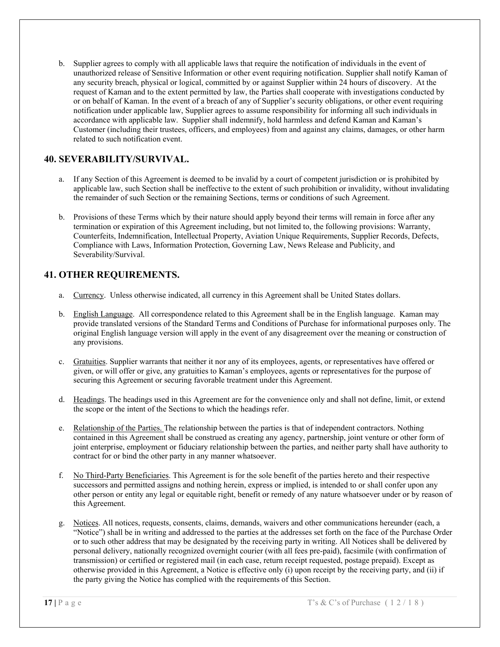b. Supplier agrees to comply with all applicable laws that require the notification of individuals in the event of unauthorized release of Sensitive Information or other event requiring notification. Supplier shall notify Kaman of any security breach, physical or logical, committed by or against Supplier within 24 hours of discovery. At the request of Kaman and to the extent permitted by law, the Parties shall cooperate with investigations conducted by or on behalf of Kaman. In the event of a breach of any of Supplier's security obligations, or other event requiring notification under applicable law, Supplier agrees to assume responsibility for informing all such individuals in accordance with applicable law. Supplier shall indemnify, hold harmless and defend Kaman and Kaman's Customer (including their trustees, officers, and employees) from and against any claims, damages, or other harm related to such notification event.

## **40. SEVERABILITY/SURVIVAL.**

- a. If any Section of this Agreement is deemed to be invalid by a court of competent jurisdiction or is prohibited by applicable law, such Section shall be ineffective to the extent of such prohibition or invalidity, without invalidating the remainder of such Section or the remaining Sections, terms or conditions of such Agreement.
- b. Provisions of these Terms which by their nature should apply beyond their terms will remain in force after any termination or expiration of this Agreement including, but not limited to, the following provisions: Warranty, Counterfeits, Indemnification, Intellectual Property, Aviation Unique Requirements, Supplier Records, Defects, Compliance with Laws, Information Protection, Governing Law, News Release and Publicity, and Severability/Survival.

#### **41. OTHER REQUIREMENTS.**

- a. Currency. Unless otherwise indicated, all currency in this Agreement shall be United States dollars.
- b. English Language. All correspondence related to this Agreement shall be in the English language. Kaman may provide translated versions of the Standard Terms and Conditions of Purchase for informational purposes only. The original English language version will apply in the event of any disagreement over the meaning or construction of any provisions.
- c. Gratuities. Supplier warrants that neither it nor any of its employees, agents, or representatives have offered or given, or will offer or give, any gratuities to Kaman's employees, agents or representatives for the purpose of securing this Agreement or securing favorable treatment under this Agreement.
- d. Headings. The headings used in this Agreement are for the convenience only and shall not define, limit, or extend the scope or the intent of the Sections to which the headings refer.
- e. Relationship of the Parties. The relationship between the parties is that of independent contractors. Nothing contained in this Agreement shall be construed as creating any agency, partnership, joint venture or other form of joint enterprise, employment or fiduciary relationship between the parties, and neither party shall have authority to contract for or bind the other party in any manner whatsoever.
- f. No Third-Party Beneficiaries. This Agreement is for the sole benefit of the parties hereto and their respective successors and permitted assigns and nothing herein, express or implied, is intended to or shall confer upon any other person or entity any legal or equitable right, benefit or remedy of any nature whatsoever under or by reason of this Agreement.
- g. Notices. All notices, requests, consents, claims, demands, waivers and other communications hereunder (each, a "Notice") shall be in writing and addressed to the parties at the addresses set forth on the face of the Purchase Order or to such other address that may be designated by the receiving party in writing. All Notices shall be delivered by personal delivery, nationally recognized overnight courier (with all fees pre-paid), facsimile (with confirmation of transmission) or certified or registered mail (in each case, return receipt requested, postage prepaid). Except as otherwise provided in this Agreement, a Notice is effective only (i) upon receipt by the receiving party, and (ii) if the party giving the Notice has complied with the requirements of this Section.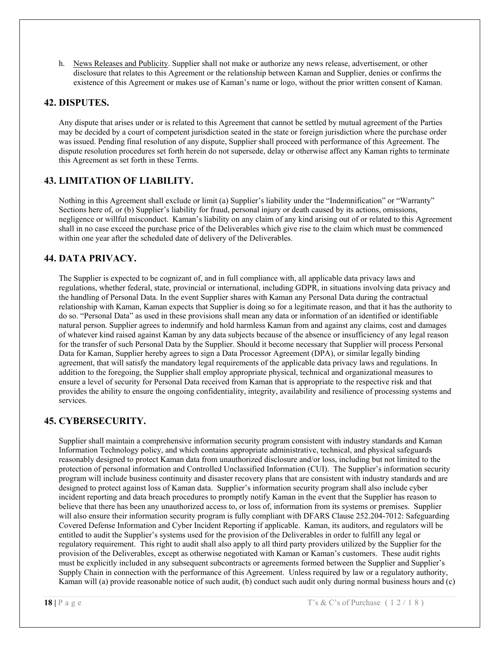h. News Releases and Publicity. Supplier shall not make or authorize any news release, advertisement, or other disclosure that relates to this Agreement or the relationship between Kaman and Supplier, denies or confirms the existence of this Agreement or makes use of Kaman's name or logo, without the prior written consent of Kaman.

#### **42. DISPUTES.**

Any dispute that arises under or is related to this Agreement that cannot be settled by mutual agreement of the Parties may be decided by a court of competent jurisdiction seated in the state or foreign jurisdiction where the purchase order was issued. Pending final resolution of any dispute, Supplier shall proceed with performance of this Agreement. The dispute resolution procedures set forth herein do not supersede, delay or otherwise affect any Kaman rights to terminate this Agreement as set forth in these Terms.

#### **43. LIMITATION OF LIABILITY.**

Nothing in this Agreement shall exclude or limit (a) Supplier's liability under the "Indemnification" or "Warranty" Sections here of, or (b) Supplier's liability for fraud, personal injury or death caused by its actions, omissions, negligence or willful misconduct. Kaman's liability on any claim of any kind arising out of or related to this Agreement shall in no case exceed the purchase price of the Deliverables which give rise to the claim which must be commenced within one year after the scheduled date of delivery of the Deliverables.

### **44. DATA PRIVACY.**

The Supplier is expected to be cognizant of, and in full compliance with, all applicable data privacy laws and regulations, whether federal, state, provincial or international, including GDPR, in situations involving data privacy and the handling of Personal Data. In the event Supplier shares with Kaman any Personal Data during the contractual relationship with Kaman, Kaman expects that Supplier is doing so for a legitimate reason, and that it has the authority to do so. "Personal Data" as used in these provisions shall mean any data or information of an identified or identifiable natural person. Supplier agrees to indemnify and hold harmless Kaman from and against any claims, cost and damages of whatever kind raised against Kaman by any data subjects because of the absence or insufficiency of any legal reason for the transfer of such Personal Data by the Supplier. Should it become necessary that Supplier will process Personal Data for Kaman, Supplier hereby agrees to sign a Data Processor Agreement (DPA), or similar legally binding agreement, that will satisfy the mandatory legal requirements of the applicable data privacy laws and regulations. In addition to the foregoing, the Supplier shall employ appropriate physical, technical and organizational measures to ensure a level of security for Personal Data received from Kaman that is appropriate to the respective risk and that provides the ability to ensure the ongoing confidentiality, integrity, availability and resilience of processing systems and services.

#### **45. CYBERSECURITY.**

Supplier shall maintain a comprehensive information security program consistent with industry standards and Kaman Information Technology policy, and which contains appropriate administrative, technical, and physical safeguards reasonably designed to protect Kaman data from unauthorized disclosure and/or loss, including but not limited to the protection of personal information and Controlled Unclassified Information (CUI). The Supplier's information security program will include business continuity and disaster recovery plans that are consistent with industry standards and are designed to protect against loss of Kaman data. Supplier's information security program shall also include cyber incident reporting and data breach procedures to promptly notify Kaman in the event that the Supplier has reason to believe that there has been any unauthorized access to, or loss of, information from its systems or premises. Supplier will also ensure their information security program is fully compliant with DFARS Clause 252.204-7012: Safeguarding Covered Defense Information and Cyber Incident Reporting if applicable. Kaman, its auditors, and regulators will be entitled to audit the Supplier's systems used for the provision of the Deliverables in order to fulfill any legal or regulatory requirement. This right to audit shall also apply to all third party providers utilized by the Supplier for the provision of the Deliverables, except as otherwise negotiated with Kaman or Kaman's customers. These audit rights must be explicitly included in any subsequent subcontracts or agreements formed between the Supplier and Supplier's Supply Chain in connection with the performance of this Agreement. Unless required by law or a regulatory authority, Kaman will (a) provide reasonable notice of such audit, (b) conduct such audit only during normal business hours and (c)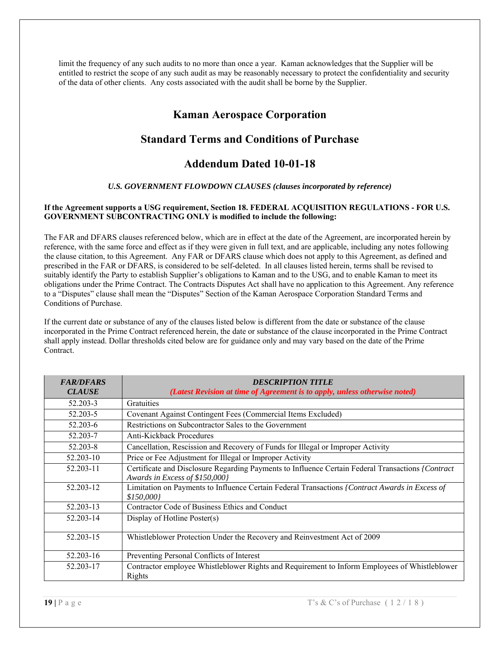limit the frequency of any such audits to no more than once a year. Kaman acknowledges that the Supplier will be entitled to restrict the scope of any such audit as may be reasonably necessary to protect the confidentiality and security of the data of other clients. Any costs associated with the audit shall be borne by the Supplier.

# **Kaman Aerospace Corporation**

# **Standard Terms and Conditions of Purchase**

# **Addendum Dated 10-01-18**

#### *U.S. GOVERNMENT FLOWDOWN CLAUSES (clauses incorporated by reference)*

#### **If the Agreement supports a USG requirement, Section 18. FEDERAL ACQUISITION REGULATIONS - FOR U.S. GOVERNMENT SUBCONTRACTING ONLY is modified to include the following:**

The FAR and DFARS clauses referenced below, which are in effect at the date of the Agreement, are incorporated herein by reference, with the same force and effect as if they were given in full text, and are applicable, including any notes following the clause citation, to this Agreement. Any FAR or DFARS clause which does not apply to this Agreement, as defined and prescribed in the FAR or DFARS, is considered to be self-deleted. In all clauses listed herein, terms shall be revised to suitably identify the Party to establish Supplier's obligations to Kaman and to the USG, and to enable Kaman to meet its obligations under the Prime Contract. The Contracts Disputes Act shall have no application to this Agreement. Any reference to a "Disputes" clause shall mean the "Disputes" Section of the Kaman Aerospace Corporation Standard Terms and Conditions of Purchase.

If the current date or substance of any of the clauses listed below is different from the date or substance of the clause incorporated in the Prime Contract referenced herein, the date or substance of the clause incorporated in the Prime Contract shall apply instead. Dollar thresholds cited below are for guidance only and may vary based on the date of the Prime Contract.

| <b>FAR/DFARS</b><br><b>CLAUSE</b> | <b>DESCRIPTION TITLE</b><br>(Latest Revision at time of Agreement is to apply, unless otherwise noted)                               |
|-----------------------------------|--------------------------------------------------------------------------------------------------------------------------------------|
| 52.203-3                          | Gratuities                                                                                                                           |
| 52.203-5                          | Covenant Against Contingent Fees (Commercial Items Excluded)                                                                         |
| 52.203-6                          | Restrictions on Subcontractor Sales to the Government                                                                                |
| 52.203-7                          | <b>Anti-Kickback Procedures</b>                                                                                                      |
| 52.203-8                          | Cancellation, Rescission and Recovery of Funds for Illegal or Improper Activity                                                      |
| 52.203-10                         | Price or Fee Adjustment for Illegal or Improper Activity                                                                             |
| 52.203-11                         | Certificate and Disclosure Regarding Payments to Influence Certain Federal Transactions / Contract<br>Awards in Excess of \$150,000} |
| 52.203-12                         | Limitation on Payments to Influence Certain Federal Transactions / Contract Awards in Excess of<br>\$150,000}                        |
| 52.203-13                         | Contractor Code of Business Ethics and Conduct                                                                                       |
| 52.203-14                         | Display of Hotline Poster(s)                                                                                                         |
| 52.203-15                         | Whistleblower Protection Under the Recovery and Reinvestment Act of 2009                                                             |
| 52.203-16                         | Preventing Personal Conflicts of Interest                                                                                            |
| 52.203-17                         | Contractor employee Whistleblower Rights and Requirement to Inform Employees of Whistleblower<br>Rights                              |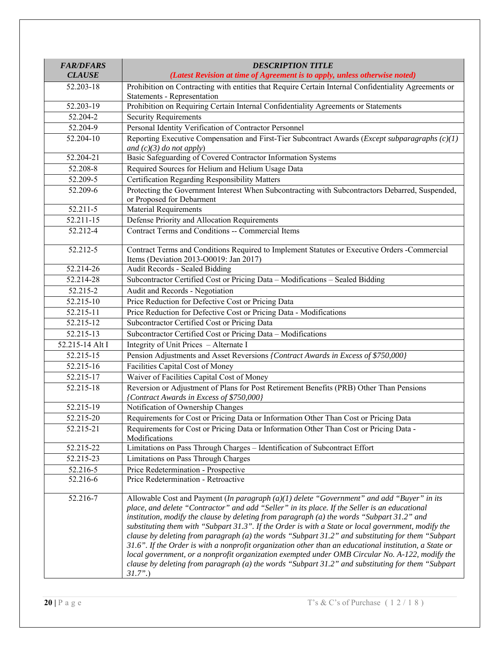| <b>FAR/DFARS</b>       | <b>DESCRIPTION TITLE</b>                                                                                                                                                                                                                                                                                                                                                                                                                                                                                                                                                                                                                                                                                                                                                                                                                     |
|------------------------|----------------------------------------------------------------------------------------------------------------------------------------------------------------------------------------------------------------------------------------------------------------------------------------------------------------------------------------------------------------------------------------------------------------------------------------------------------------------------------------------------------------------------------------------------------------------------------------------------------------------------------------------------------------------------------------------------------------------------------------------------------------------------------------------------------------------------------------------|
| <b>CLAUSE</b>          | (Latest Revision at time of Agreement is to apply, unless otherwise noted)                                                                                                                                                                                                                                                                                                                                                                                                                                                                                                                                                                                                                                                                                                                                                                   |
| 52.203-18              | Prohibition on Contracting with entities that Require Certain Internal Confidentiality Agreements or<br>Statements - Representation                                                                                                                                                                                                                                                                                                                                                                                                                                                                                                                                                                                                                                                                                                          |
| 52.203-19              | Prohibition on Requiring Certain Internal Confidentiality Agreements or Statements                                                                                                                                                                                                                                                                                                                                                                                                                                                                                                                                                                                                                                                                                                                                                           |
| 52.204-2               | <b>Security Requirements</b>                                                                                                                                                                                                                                                                                                                                                                                                                                                                                                                                                                                                                                                                                                                                                                                                                 |
| 52.204-9               | Personal Identity Verification of Contractor Personnel                                                                                                                                                                                                                                                                                                                                                                                                                                                                                                                                                                                                                                                                                                                                                                                       |
| 52.204-10              | Reporting Executive Compensation and First-Tier Subcontract Awards ( <i>Except subparagraphs</i> $(c)(1)$                                                                                                                                                                                                                                                                                                                                                                                                                                                                                                                                                                                                                                                                                                                                    |
|                        | and $(c)(3)$ do not apply)                                                                                                                                                                                                                                                                                                                                                                                                                                                                                                                                                                                                                                                                                                                                                                                                                   |
| 52.204-21              | Basic Safeguarding of Covered Contractor Information Systems                                                                                                                                                                                                                                                                                                                                                                                                                                                                                                                                                                                                                                                                                                                                                                                 |
| 52.208-8               | Required Sources for Helium and Helium Usage Data                                                                                                                                                                                                                                                                                                                                                                                                                                                                                                                                                                                                                                                                                                                                                                                            |
| 52.209-5               | Certification Regarding Responsibility Matters                                                                                                                                                                                                                                                                                                                                                                                                                                                                                                                                                                                                                                                                                                                                                                                               |
| 52.209-6               | Protecting the Government Interest When Subcontracting with Subcontractors Debarred, Suspended,<br>or Proposed for Debarment                                                                                                                                                                                                                                                                                                                                                                                                                                                                                                                                                                                                                                                                                                                 |
| 52.211-5               | Material Requirements                                                                                                                                                                                                                                                                                                                                                                                                                                                                                                                                                                                                                                                                                                                                                                                                                        |
| 52.211-15              | Defense Priority and Allocation Requirements                                                                                                                                                                                                                                                                                                                                                                                                                                                                                                                                                                                                                                                                                                                                                                                                 |
| 52.212-4               | Contract Terms and Conditions -- Commercial Items                                                                                                                                                                                                                                                                                                                                                                                                                                                                                                                                                                                                                                                                                                                                                                                            |
| 52.212-5               | Contract Terms and Conditions Required to Implement Statutes or Executive Orders -Commercial<br>Items (Deviation 2013-O0019: Jan 2017)                                                                                                                                                                                                                                                                                                                                                                                                                                                                                                                                                                                                                                                                                                       |
| 52.214-26              | Audit Records - Sealed Bidding                                                                                                                                                                                                                                                                                                                                                                                                                                                                                                                                                                                                                                                                                                                                                                                                               |
| 52.214-28              | Subcontractor Certified Cost or Pricing Data - Modifications - Sealed Bidding                                                                                                                                                                                                                                                                                                                                                                                                                                                                                                                                                                                                                                                                                                                                                                |
| 52.215-2               | Audit and Records - Negotiation                                                                                                                                                                                                                                                                                                                                                                                                                                                                                                                                                                                                                                                                                                                                                                                                              |
| 52.215-10              | Price Reduction for Defective Cost or Pricing Data                                                                                                                                                                                                                                                                                                                                                                                                                                                                                                                                                                                                                                                                                                                                                                                           |
| 52.215-11              | Price Reduction for Defective Cost or Pricing Data - Modifications                                                                                                                                                                                                                                                                                                                                                                                                                                                                                                                                                                                                                                                                                                                                                                           |
| 52.215-12              | Subcontractor Certified Cost or Pricing Data                                                                                                                                                                                                                                                                                                                                                                                                                                                                                                                                                                                                                                                                                                                                                                                                 |
| $52.21\overline{5-13}$ | Subcontractor Certified Cost or Pricing Data - Modifications                                                                                                                                                                                                                                                                                                                                                                                                                                                                                                                                                                                                                                                                                                                                                                                 |
| 52.215-14 Alt I        | Integrity of Unit Prices - Alternate I                                                                                                                                                                                                                                                                                                                                                                                                                                                                                                                                                                                                                                                                                                                                                                                                       |
| 52.215-15              | Pension Adjustments and Asset Reversions {Contract Awards in Excess of \$750,000}                                                                                                                                                                                                                                                                                                                                                                                                                                                                                                                                                                                                                                                                                                                                                            |
| 52.215-16              | Facilities Capital Cost of Money                                                                                                                                                                                                                                                                                                                                                                                                                                                                                                                                                                                                                                                                                                                                                                                                             |
| 52.215-17              | Waiver of Facilities Capital Cost of Money                                                                                                                                                                                                                                                                                                                                                                                                                                                                                                                                                                                                                                                                                                                                                                                                   |
| 52.215-18              | Reversion or Adjustment of Plans for Post Retirement Benefits (PRB) Other Than Pensions<br>{Contract Awards in Excess of \$750,000}                                                                                                                                                                                                                                                                                                                                                                                                                                                                                                                                                                                                                                                                                                          |
| 52.215-19              | Notification of Ownership Changes                                                                                                                                                                                                                                                                                                                                                                                                                                                                                                                                                                                                                                                                                                                                                                                                            |
| 52.215-20              | Requirements for Cost or Pricing Data or Information Other Than Cost or Pricing Data                                                                                                                                                                                                                                                                                                                                                                                                                                                                                                                                                                                                                                                                                                                                                         |
| 52.215-21              | Requirements for Cost or Pricing Data or Information Other Than Cost or Pricing Data -<br>Modifications                                                                                                                                                                                                                                                                                                                                                                                                                                                                                                                                                                                                                                                                                                                                      |
| 52.215-22              | Limitations on Pass Through Charges - Identification of Subcontract Effort                                                                                                                                                                                                                                                                                                                                                                                                                                                                                                                                                                                                                                                                                                                                                                   |
| 52.215-23              | Limitations on Pass Through Charges                                                                                                                                                                                                                                                                                                                                                                                                                                                                                                                                                                                                                                                                                                                                                                                                          |
| 52.216-5               | Price Redetermination - Prospective                                                                                                                                                                                                                                                                                                                                                                                                                                                                                                                                                                                                                                                                                                                                                                                                          |
| 52.216-6               | Price Redetermination - Retroactive                                                                                                                                                                                                                                                                                                                                                                                                                                                                                                                                                                                                                                                                                                                                                                                                          |
| 52.216-7               | Allowable Cost and Payment (In paragraph $(a)(1)$ delete "Government" and add "Buyer" in its<br>place, and delete "Contractor" and add "Seller" in its place. If the Seller is an educational<br>institution, modify the clause by deleting from paragraph $(a)$ the words "Subpart 31.2" and<br>substituting them with "Subpart 31.3". If the Order is with a State or local government, modify the<br>clause by deleting from paragraph (a) the words "Subpart 31.2" and substituting for them "Subpart<br>$31.6$ ". If the Order is with a nonprofit organization other than an educational institution, a State or<br>local government, or a nonprofit organization exempted under OMB Circular No. A-122, modify the<br>clause by deleting from paragraph (a) the words "Subpart 31.2" and substituting for them "Subpart<br>$31.7"$ .) |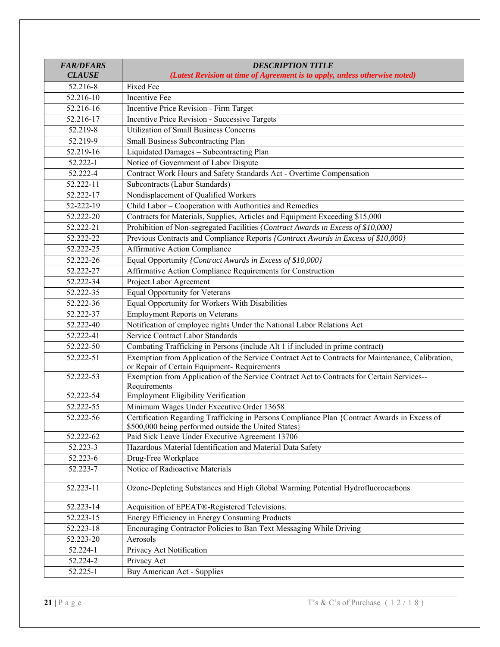| <b>FAR/DFARS</b><br><b>CLAUSE</b> | <b>DESCRIPTION TITLE</b><br>(Latest Revision at time of Agreement is to apply, unless otherwise noted) |
|-----------------------------------|--------------------------------------------------------------------------------------------------------|
| 52.216-8                          | Fixed Fee                                                                                              |
| 52.216-10                         | Incentive Fee                                                                                          |
| 52.216-16                         | Incentive Price Revision - Firm Target                                                                 |
| 52.216-17                         | Incentive Price Revision - Successive Targets                                                          |
| 52.219-8                          | <b>Utilization of Small Business Concerns</b>                                                          |
| 52.219-9                          | Small Business Subcontracting Plan                                                                     |
| 52.219-16                         | Liquidated Damages - Subcontracting Plan                                                               |
| 52.222-1                          | Notice of Government of Labor Dispute                                                                  |
| 52.222-4                          | Contract Work Hours and Safety Standards Act - Overtime Compensation                                   |
| 52.222-11                         | Subcontracts (Labor Standards)                                                                         |
| 52.222-17                         | Nondisplacement of Qualified Workers                                                                   |
| 52-222-19                         | Child Labor - Cooperation with Authorities and Remedies                                                |
| 52.222-20                         | Contracts for Materials, Supplies, Articles and Equipment Exceeding \$15,000                           |
| 52.222-21                         | Prohibition of Non-segregated Facilities {Contract Awards in Excess of \$10,000}                       |
| 52.222-22                         | Previous Contracts and Compliance Reports {Contract Awards in Excess of \$10,000}                      |
| 52.222-25                         | <b>Affirmative Action Compliance</b>                                                                   |
| 52.222-26                         | Equal Opportunity {Contract Awards in Excess of \$10,000}                                              |
| 52.222-27                         | Affirmative Action Compliance Requirements for Construction                                            |
| 52.222-34                         | Project Labor Agreement                                                                                |
| 52.222-35                         | <b>Equal Opportunity for Veterans</b>                                                                  |
| 52.222-36                         | Equal Opportunity for Workers With Disabilities                                                        |
| 52.222-37                         | <b>Employment Reports on Veterans</b>                                                                  |
| 52.222-40                         | Notification of employee rights Under the National Labor Relations Act                                 |
| 52.222-41                         | Service Contract Labor Standards                                                                       |
| 52.222-50                         | Combating Trafficking in Persons (include Alt 1 if included in prime contract)                         |
| 52.222-51                         | Exemption from Application of the Service Contract Act to Contracts for Maintenance, Calibration,      |
|                                   | or Repair of Certain Equipment-Requirements                                                            |
| 52.222-53                         | Exemption from Application of the Service Contract Act to Contracts for Certain Services--             |
| 52.222-54                         | Requirements<br><b>Employment Eligibility Verification</b>                                             |
| 52.222-55                         | Minimum Wages Under Executive Order 13658                                                              |
| 52.222-56                         | Certification Regarding Trafficking in Persons Compliance Plan {Contract Awards in Excess of           |
|                                   | \$500,000 being performed outside the United States}                                                   |
| 52.222-62                         | Paid Sick Leave Under Executive Agreement 13706                                                        |
| 52.223-3                          | Hazardous Material Identification and Material Data Safety                                             |
| 52.223-6                          | Drug-Free Workplace                                                                                    |
| 52.223-7                          | Notice of Radioactive Materials                                                                        |
| 52.223-11                         | Ozone-Depleting Substances and High Global Warming Potential Hydrofluorocarbons                        |
| 52.223-14                         | Acquisition of EPEAT®-Registered Televisions.                                                          |
| 52.223-15                         | Energy Efficiency in Energy Consuming Products                                                         |
| 52.223-18                         | Encouraging Contractor Policies to Ban Text Messaging While Driving                                    |
| 52.223-20                         | Aerosols                                                                                               |
| 52.224-1                          | Privacy Act Notification                                                                               |
| 52.224-2                          | Privacy Act                                                                                            |
| 52.225-1                          | Buy American Act - Supplies                                                                            |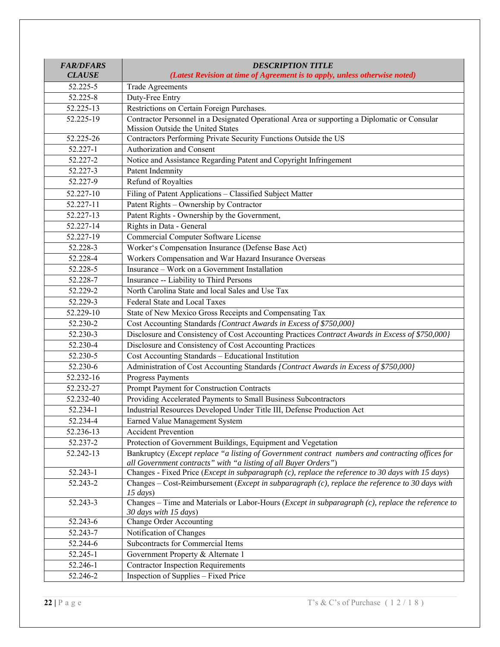| <b>FAR/DFARS</b><br><b>CLAUSE</b> | <b>DESCRIPTION TITLE</b><br>(Latest Revision at time of Agreement is to apply, unless otherwise noted)                                                              |
|-----------------------------------|---------------------------------------------------------------------------------------------------------------------------------------------------------------------|
| 52.225-5                          | <b>Trade Agreements</b>                                                                                                                                             |
| 52.225-8                          | Duty-Free Entry                                                                                                                                                     |
| 52.225-13                         | Restrictions on Certain Foreign Purchases.                                                                                                                          |
| 52.225-19                         | Contractor Personnel in a Designated Operational Area or supporting a Diplomatic or Consular                                                                        |
|                                   | Mission Outside the United States                                                                                                                                   |
| 52.225-26                         | Contractors Performing Private Security Functions Outside the US                                                                                                    |
| 52.227-1                          | Authorization and Consent                                                                                                                                           |
| 52.227-2                          | Notice and Assistance Regarding Patent and Copyright Infringement                                                                                                   |
| 52.227-3                          | Patent Indemnity                                                                                                                                                    |
| 52.227-9                          | Refund of Royalties                                                                                                                                                 |
| 52.227-10                         | Filing of Patent Applications - Classified Subject Matter                                                                                                           |
| 52.227-11                         | Patent Rights - Ownership by Contractor                                                                                                                             |
| 52.227-13                         | Patent Rights - Ownership by the Government,                                                                                                                        |
| 52.227-14                         | Rights in Data - General                                                                                                                                            |
| 52.227-19                         | Commercial Computer Software License                                                                                                                                |
| 52.228-3                          | Worker's Compensation Insurance (Defense Base Act)                                                                                                                  |
| 52.228-4                          | Workers Compensation and War Hazard Insurance Overseas                                                                                                              |
| 52.228-5                          | Insurance - Work on a Government Installation                                                                                                                       |
| 52.228-7                          | Insurance -- Liability to Third Persons                                                                                                                             |
| 52.229-2                          | North Carolina State and local Sales and Use Tax                                                                                                                    |
| 52.229-3                          | Federal State and Local Taxes                                                                                                                                       |
| 52.229-10                         | State of New Mexico Gross Receipts and Compensating Tax                                                                                                             |
| 52.230-2                          | Cost Accounting Standards {Contract Awards in Excess of \$750,000}                                                                                                  |
| 52.230-3                          | Disclosure and Consistency of Cost Accounting Practices Contract Awards in Excess of \$750,000}                                                                     |
| 52.230-4                          | Disclosure and Consistency of Cost Accounting Practices                                                                                                             |
| 52.230-5                          | Cost Accounting Standards - Educational Institution                                                                                                                 |
| 52.230-6                          | Administration of Cost Accounting Standards [Contract Awards in Excess of \$750,000]                                                                                |
| 52.232-16                         | Progress Payments                                                                                                                                                   |
| 52.232-27                         | Prompt Payment for Construction Contracts                                                                                                                           |
| 52.232-40                         | Providing Accelerated Payments to Small Business Subcontractors                                                                                                     |
| 52.234-1                          | Industrial Resources Developed Under Title III, Defense Production Act                                                                                              |
| 52.234-4                          | Earned Value Management System                                                                                                                                      |
| 52.236-13                         | <b>Accident Prevention</b>                                                                                                                                          |
| 52.237-2                          | Protection of Government Buildings, Equipment and Vegetation                                                                                                        |
| 52.242-13                         | Bankruptcy (Except replace "a listing of Government contract numbers and contracting offices for<br>all Government contracts" with "a listing of all Buyer Orders") |
| 52.243-1                          | Changes - Fixed Price (Except in subparagraph (c), replace the reference to 30 days with 15 days)                                                                   |
| 52.243-2                          | Changes – Cost-Reimbursement (Except in subparagraph (c), replace the reference to 30 days with<br>$15 \, days)$                                                    |
| 52.243-3                          | Changes – Time and Materials or Labor-Hours (Except in subparagraph (c), replace the reference to<br>30 days with 15 days)                                          |
| 52.243-6                          | <b>Change Order Accounting</b>                                                                                                                                      |
| 52.243-7                          | Notification of Changes                                                                                                                                             |
| 52.244-6                          | Subcontracts for Commercial Items                                                                                                                                   |
| 52.245-1                          | Government Property & Alternate 1                                                                                                                                   |
| 52.246-1                          | <b>Contractor Inspection Requirements</b>                                                                                                                           |
| 52.246-2                          | Inspection of Supplies – Fixed Price                                                                                                                                |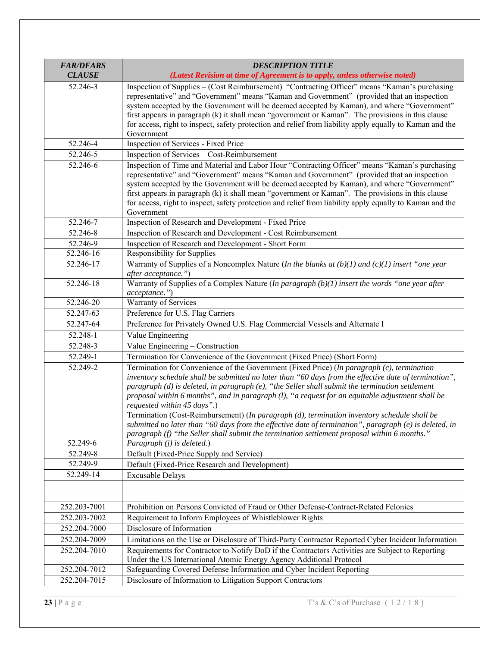| <b>FAR/DFARS</b><br><b>CLAUSE</b> | <b>DESCRIPTION TITLE</b><br>(Latest Revision at time of Agreement is to apply, unless otherwise noted)                                                                                                                                                                                                                                                                                                                                                                                                                     |
|-----------------------------------|----------------------------------------------------------------------------------------------------------------------------------------------------------------------------------------------------------------------------------------------------------------------------------------------------------------------------------------------------------------------------------------------------------------------------------------------------------------------------------------------------------------------------|
| 52.246-3                          | Inspection of Supplies - (Cost Reimbursement) "Contracting Officer" means "Kaman's purchasing<br>representative" and "Government" means "Kaman and Government" (provided that an inspection<br>system accepted by the Government will be deemed accepted by Kaman), and where "Government"<br>first appears in paragraph (k) it shall mean "government or Kaman". The provisions in this clause<br>for access, right to inspect, safety protection and relief from liability apply equally to Kaman and the<br>Government  |
| 52.246-4                          | Inspection of Services - Fixed Price                                                                                                                                                                                                                                                                                                                                                                                                                                                                                       |
| 52.246-5                          | Inspection of Services - Cost-Reimbursement                                                                                                                                                                                                                                                                                                                                                                                                                                                                                |
| 52.246-6                          | Inspection of Time and Material and Labor Hour "Contracting Officer" means "Kaman's purchasing<br>representative" and "Government" means "Kaman and Government" (provided that an inspection<br>system accepted by the Government will be deemed accepted by Kaman), and where "Government"<br>first appears in paragraph (k) it shall mean "government or Kaman". The provisions in this clause<br>for access, right to inspect, safety protection and relief from liability apply equally to Kaman and the<br>Government |
| 52.246-7                          | Inspection of Research and Development - Fixed Price                                                                                                                                                                                                                                                                                                                                                                                                                                                                       |
| 52.246-8                          | Inspection of Research and Development - Cost Reimbursement                                                                                                                                                                                                                                                                                                                                                                                                                                                                |
| 52.246-9                          | Inspection of Research and Development - Short Form                                                                                                                                                                                                                                                                                                                                                                                                                                                                        |
| 52.246-16                         | Responsibility for Supplies                                                                                                                                                                                                                                                                                                                                                                                                                                                                                                |
| 52.246-17                         | Warranty of Supplies of a Noncomplex Nature (In the blanks at $(b)(1)$ and $(c)(1)$ insert "one year<br>after acceptance.")                                                                                                                                                                                                                                                                                                                                                                                                |
| 52.246-18                         | Warranty of Supplies of a Complex Nature (In paragraph $(b)(1)$ insert the words "one year after<br>acceptance.")                                                                                                                                                                                                                                                                                                                                                                                                          |
| 52.246-20                         | Warranty of Services                                                                                                                                                                                                                                                                                                                                                                                                                                                                                                       |
| 52.247-63                         | Preference for U.S. Flag Carriers                                                                                                                                                                                                                                                                                                                                                                                                                                                                                          |
| 52.247-64                         | Preference for Privately Owned U.S. Flag Commercial Vessels and Alternate I                                                                                                                                                                                                                                                                                                                                                                                                                                                |
| 52.248-1                          | Value Engineering                                                                                                                                                                                                                                                                                                                                                                                                                                                                                                          |
| 52.248-3                          | Value Engineering - Construction                                                                                                                                                                                                                                                                                                                                                                                                                                                                                           |
| 52.249-1                          | Termination for Convenience of the Government (Fixed Price) (Short Form)                                                                                                                                                                                                                                                                                                                                                                                                                                                   |
| 52.249-2                          | Termination for Convenience of the Government (Fixed Price) (In paragraph (c), termination<br>inventory schedule shall be submitted no later than "60 days from the effective date of termination",<br>paragraph $(d)$ is deleted, in paragraph $(e)$ , "the Seller shall submit the termination settlement<br>proposal within 6 months", and in paragraph (1), "a request for an equitable adjustment shall be<br>requested within 45 days".)                                                                             |
|                                   | Termination (Cost-Reimbursement) (In paragraph (d), termination inventory schedule shall be<br>submitted no later than "60 days from the effective date of termination", paragraph $(e)$ is deleted, in<br>paragraph (f) "the Seller shall submit the termination settlement proposal within 6 months."                                                                                                                                                                                                                    |
| 52.249-6                          | Paragraph (j) is deleted.)                                                                                                                                                                                                                                                                                                                                                                                                                                                                                                 |
| 52.249-8<br>52.249-9              | Default (Fixed-Price Supply and Service)                                                                                                                                                                                                                                                                                                                                                                                                                                                                                   |
| 52.249-14                         | Default (Fixed-Price Research and Development)                                                                                                                                                                                                                                                                                                                                                                                                                                                                             |
|                                   | <b>Excusable Delays</b>                                                                                                                                                                                                                                                                                                                                                                                                                                                                                                    |
|                                   |                                                                                                                                                                                                                                                                                                                                                                                                                                                                                                                            |
|                                   |                                                                                                                                                                                                                                                                                                                                                                                                                                                                                                                            |
| 252.203-7001<br>252.203-7002      | Prohibition on Persons Convicted of Fraud or Other Defense-Contract-Related Felonies                                                                                                                                                                                                                                                                                                                                                                                                                                       |
|                                   | Requirement to Inform Employees of Whistleblower Rights<br>Disclosure of Information                                                                                                                                                                                                                                                                                                                                                                                                                                       |
| 252.204-7000                      |                                                                                                                                                                                                                                                                                                                                                                                                                                                                                                                            |
| 252.204-7009                      | Limitations on the Use or Disclosure of Third-Party Contractor Reported Cyber Incident Information                                                                                                                                                                                                                                                                                                                                                                                                                         |
| 252.204-7010                      | Requirements for Contractor to Notify DoD if the Contractors Activities are Subject to Reporting<br>Under the US International Atomic Energy Agency Additional Protocol                                                                                                                                                                                                                                                                                                                                                    |
| 252.204-7012                      | Safeguarding Covered Defense Information and Cyber Incident Reporting                                                                                                                                                                                                                                                                                                                                                                                                                                                      |
| 252.204-7015                      | Disclosure of Information to Litigation Support Contractors                                                                                                                                                                                                                                                                                                                                                                                                                                                                |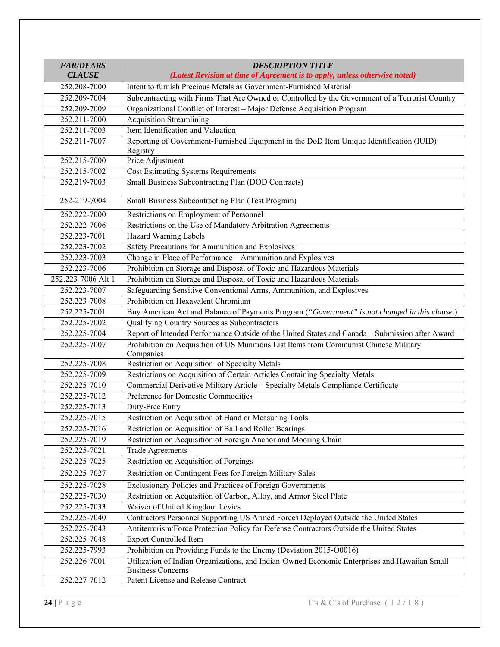| <b>FAR/DFARS</b>   | <b>DESCRIPTION TITLE</b>                                                                                                                         |
|--------------------|--------------------------------------------------------------------------------------------------------------------------------------------------|
| <b>CLAUSE</b>      | (Latest Revision at time of Agreement is to apply, unless otherwise noted)<br>Intent to furnish Precious Metals as Government-Furnished Material |
| 252.208-7000       |                                                                                                                                                  |
| 252.209-7004       | Subcontracting with Firms That Are Owned or Controlled by the Government of a Terrorist Country                                                  |
| 252.209-7009       | Organizational Conflict of Interest - Major Defense Acquisition Program                                                                          |
| 252.211-7000       | <b>Acquisition Streamlining</b>                                                                                                                  |
| 252.211-7003       | Item Identification and Valuation                                                                                                                |
| 252.211-7007       | Reporting of Government-Furnished Equipment in the DoD Item Unique Identification (IUID)<br>Registry                                             |
| 252.215-7000       | Price Adjustment                                                                                                                                 |
| 252.215-7002       | <b>Cost Estimating Systems Requirements</b>                                                                                                      |
| 252.219-7003       | Small Business Subcontracting Plan (DOD Contracts)                                                                                               |
| 252-219-7004       | Small Business Subcontracting Plan (Test Program)                                                                                                |
| 252.222-7000       | Restrictions on Employment of Personnel                                                                                                          |
| 252.222-7006       | Restrictions on the Use of Mandatory Arbitration Agreements                                                                                      |
| 252.223-7001       | Hazard Warning Labels                                                                                                                            |
| 252.223-7002       | Safety Precautions for Ammunition and Explosives                                                                                                 |
| 252.223-7003       | Change in Place of Performance - Ammunition and Explosives                                                                                       |
| 252.223-7006       | Prohibition on Storage and Disposal of Toxic and Hazardous Materials                                                                             |
| 252.223-7006 Alt 1 | Prohibition on Storage and Disposal of Toxic and Hazardous Materials                                                                             |
| 252.223-7007       | Safeguarding Sensitive Conventional Arms, Ammunition, and Explosives                                                                             |
| 252.223-7008       | Prohibition on Hexavalent Chromium                                                                                                               |
| 252.225-7001       | Buy American Act and Balance of Payments Program ("Government" is not changed in this clause.)                                                   |
| 252.225-7002       | Qualifying Country Sources as Subcontractors                                                                                                     |
| 252.225-7004       | Report of Intended Performance Outside of the United States and Canada - Submission after Award                                                  |
| 252.225-7007       | Prohibition on Acquisition of US Munitions List Items from Communist Chinese Military<br>Companies                                               |
| 252.225-7008       | Restriction on Acquisition of Specialty Metals                                                                                                   |
| 252.225-7009       | Restrictions on Acquisition of Certain Articles Containing Specialty Metals                                                                      |
| 252.225-7010       | Commercial Derivative Military Article - Specialty Metals Compliance Certificate                                                                 |
| 252.225-7012       | Preference for Domestic Commodities                                                                                                              |
| 252.225-7013       | Duty-Free Entry                                                                                                                                  |
| 252.225-7015       | Restriction on Acquisition of Hand or Measuring Tools                                                                                            |
| 252.225-7016       | Restriction on Acquisition of Ball and Roller Bearings                                                                                           |
| 252.225-7019       | Restriction on Acquisition of Foreign Anchor and Mooring Chain                                                                                   |
| 252.225-7021       | <b>Trade Agreements</b>                                                                                                                          |
| 252.225-7025       | Restriction on Acquisition of Forgings                                                                                                           |
| 252.225-7027       | Restriction on Contingent Fees for Foreign Military Sales                                                                                        |
| 252.225-7028       | Exclusionary Policies and Practices of Foreign Governments                                                                                       |
| 252.225-7030       | Restriction on Acquisition of Carbon, Alloy, and Armor Steel Plate                                                                               |
| 252.225-7033       | Waiver of United Kingdom Levies                                                                                                                  |
| 252.225-7040       | Contractors Personnel Supporting US Armed Forces Deployed Outside the United States                                                              |
| 252.225-7043       | Antiterrorism/Force Protection Policy for Defense Contractors Outside the United States                                                          |
| 252.225-7048       | <b>Export Controlled Item</b>                                                                                                                    |
| 252.225-7993       | Prohibition on Providing Funds to the Enemy (Deviation 2015-O0016)                                                                               |
| 252.226-7001       | Utilization of Indian Organizations, and Indian-Owned Economic Enterprises and Hawaiian Small<br><b>Business Concerns</b>                        |
| 252.227-7012       | Patent License and Release Contract                                                                                                              |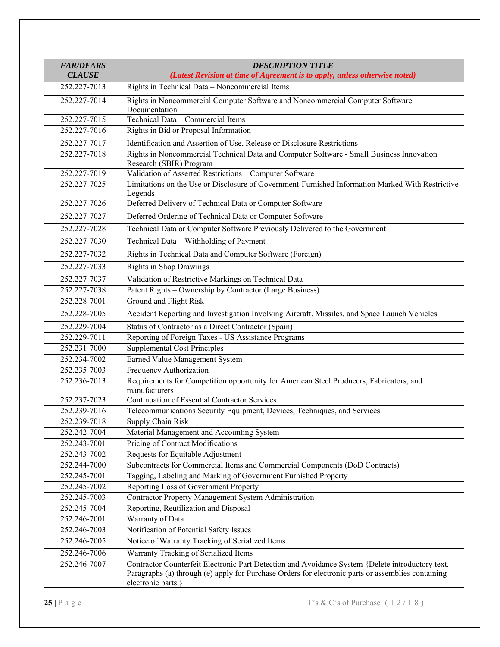| <b>FAR/DFARS</b><br><b>CLAUSE</b> | <b>DESCRIPTION TITLE</b><br>(Latest Revision at time of Agreement is to apply, unless otherwise noted)                                                                                                                       |
|-----------------------------------|------------------------------------------------------------------------------------------------------------------------------------------------------------------------------------------------------------------------------|
| 252.227-7013                      | Rights in Technical Data - Noncommercial Items                                                                                                                                                                               |
| 252.227-7014                      | Rights in Noncommercial Computer Software and Noncommercial Computer Software<br>Documentation                                                                                                                               |
| 252.227-7015                      | Technical Data - Commercial Items                                                                                                                                                                                            |
| 252.227-7016                      | Rights in Bid or Proposal Information                                                                                                                                                                                        |
| 252.227-7017                      | Identification and Assertion of Use, Release or Disclosure Restrictions                                                                                                                                                      |
| 252.227-7018                      | Rights in Noncommercial Technical Data and Computer Software - Small Business Innovation<br>Research (SBIR) Program                                                                                                          |
| 252.227-7019                      | Validation of Asserted Restrictions - Computer Software                                                                                                                                                                      |
| 252.227-7025                      | Limitations on the Use or Disclosure of Government-Furnished Information Marked With Restrictive<br>Legends                                                                                                                  |
| 252.227-7026                      | Deferred Delivery of Technical Data or Computer Software                                                                                                                                                                     |
| 252.227-7027                      | Deferred Ordering of Technical Data or Computer Software                                                                                                                                                                     |
| 252.227-7028                      | Technical Data or Computer Software Previously Delivered to the Government                                                                                                                                                   |
| 252.227-7030                      | Technical Data - Withholding of Payment                                                                                                                                                                                      |
| 252.227-7032                      | Rights in Technical Data and Computer Software (Foreign)                                                                                                                                                                     |
| 252.227-7033                      | <b>Rights in Shop Drawings</b>                                                                                                                                                                                               |
| 252.227-7037                      | Validation of Restrictive Markings on Technical Data                                                                                                                                                                         |
| 252.227-7038                      | Patent Rights - Ownership by Contractor (Large Business)                                                                                                                                                                     |
| 252.228-7001                      | Ground and Flight Risk                                                                                                                                                                                                       |
| 252.228-7005                      | Accident Reporting and Investigation Involving Aircraft, Missiles, and Space Launch Vehicles                                                                                                                                 |
| 252.229-7004                      | Status of Contractor as a Direct Contractor (Spain)                                                                                                                                                                          |
| 252.229-7011                      | Reporting of Foreign Taxes - US Assistance Programs                                                                                                                                                                          |
| 252.231-7000                      | <b>Supplemental Cost Principles</b>                                                                                                                                                                                          |
| 252.234-7002                      | Earned Value Management System                                                                                                                                                                                               |
| 252.235-7003                      | Frequency Authorization                                                                                                                                                                                                      |
| 252.236-7013                      | Requirements for Competition opportunity for American Steel Producers, Fabricators, and<br>manufacturers                                                                                                                     |
| 252.237-7023                      | <b>Continuation of Essential Contractor Services</b>                                                                                                                                                                         |
| 252.239-7016                      | Telecommunications Security Equipment, Devices, Techniques, and Services                                                                                                                                                     |
| 252.239-7018                      | Supply Chain Risk                                                                                                                                                                                                            |
| 252.242-7004                      | Material Management and Accounting System                                                                                                                                                                                    |
| 252.243-7001                      | Pricing of Contract Modifications                                                                                                                                                                                            |
| 252.243-7002                      | Requests for Equitable Adjustment                                                                                                                                                                                            |
| 252.244-7000                      | Subcontracts for Commercial Items and Commercial Components (DoD Contracts)                                                                                                                                                  |
| 252.245-7001                      | Tagging, Labeling and Marking of Government Furnished Property                                                                                                                                                               |
| 252.245-7002                      | Reporting Loss of Government Property                                                                                                                                                                                        |
| 252.245-7003                      | <b>Contractor Property Management System Administration</b>                                                                                                                                                                  |
| 252.245-7004<br>252.246-7001      | Reporting, Reutilization and Disposal<br>Warranty of Data                                                                                                                                                                    |
| 252.246-7003                      | Notification of Potential Safety Issues                                                                                                                                                                                      |
| 252.246-7005                      | Notice of Warranty Tracking of Serialized Items                                                                                                                                                                              |
|                                   |                                                                                                                                                                                                                              |
| 252.246-7006<br>252.246-7007      | Warranty Tracking of Serialized Items                                                                                                                                                                                        |
|                                   | Contractor Counterfeit Electronic Part Detection and Avoidance System {Delete introductory text.<br>Paragraphs (a) through (e) apply for Purchase Orders for electronic parts or assemblies containing<br>electronic parts.} |